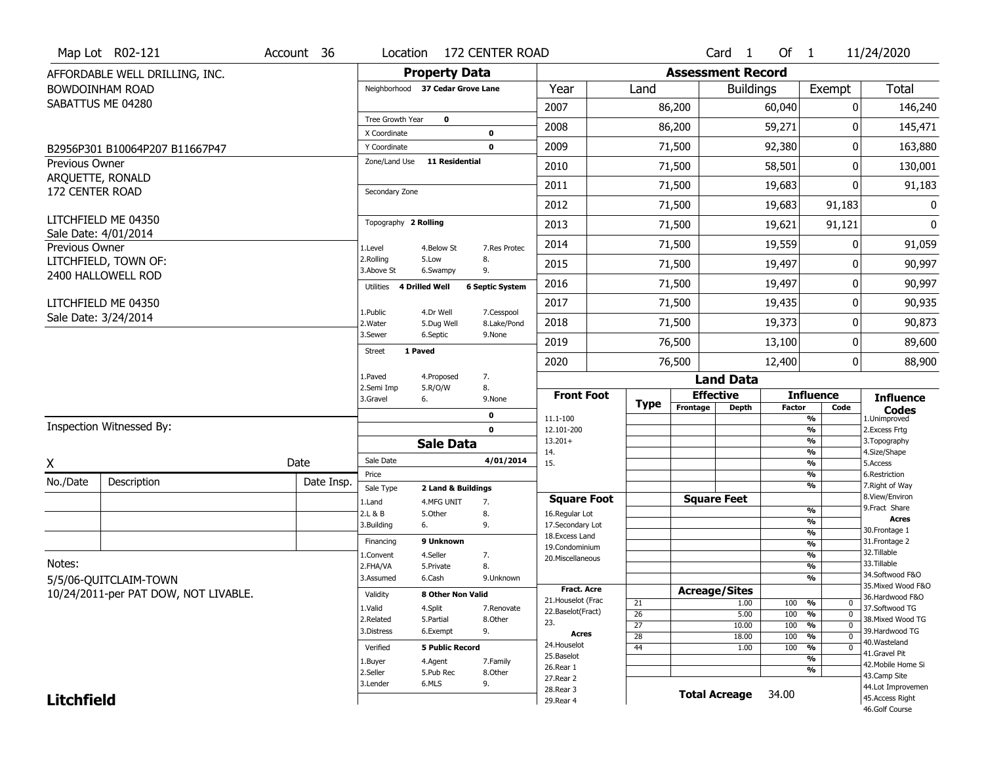|                   | Map Lot R02-121                             | Account 36 | Location                 |                                  | 172 CENTER ROAD           |                                      |                 |                          | Card <sub>1</sub>    | Of 1          |                                 | 11/24/2020                           |
|-------------------|---------------------------------------------|------------|--------------------------|----------------------------------|---------------------------|--------------------------------------|-----------------|--------------------------|----------------------|---------------|---------------------------------|--------------------------------------|
|                   | AFFORDABLE WELL DRILLING, INC.              |            |                          | <b>Property Data</b>             |                           |                                      |                 | <b>Assessment Record</b> |                      |               |                                 |                                      |
|                   | <b>BOWDOINHAM ROAD</b>                      |            |                          | Neighborhood 37 Cedar Grove Lane |                           | Year                                 | Land            |                          | <b>Buildings</b>     |               | Exempt                          | <b>Total</b>                         |
|                   | SABATTUS ME 04280                           |            |                          |                                  |                           | 2007                                 |                 | 86,200                   |                      | 60,040        | 0                               | 146,240                              |
|                   |                                             |            | <b>Tree Growth Year</b>  | $\mathbf 0$                      |                           | 2008                                 |                 | 86,200                   |                      | 59,271        | ŋ                               | 145,471                              |
|                   |                                             |            | X Coordinate             |                                  | $\mathbf 0$               |                                      |                 |                          |                      |               | 0                               |                                      |
|                   | B2956P301 B10064P207 B11667P47              |            | Y Coordinate             | Zone/Land Use 11 Residential     | $\mathbf 0$               | 2009                                 |                 | 71,500                   |                      | 92,380        |                                 | 163,880                              |
| Previous Owner    | ARQUETTE, RONALD                            |            |                          |                                  |                           | 2010                                 |                 | 71,500                   |                      | 58,501        | 0                               | 130,001                              |
| 172 CENTER ROAD   |                                             |            | Secondary Zone           |                                  |                           | 2011                                 |                 | 71,500                   |                      | 19,683        | 0                               | 91,183                               |
|                   |                                             |            |                          |                                  |                           | 2012                                 |                 | 71,500                   |                      | 19,683        | 91,183                          | 0                                    |
|                   | LITCHFIELD ME 04350<br>Sale Date: 4/01/2014 |            | Topography 2 Rolling     |                                  |                           | 2013                                 |                 | 71,500                   |                      | 19,621        | 91,121                          | 0                                    |
| Previous Owner    |                                             |            | 1.Level                  | 4.Below St                       | 7.Res Protec              | 2014                                 |                 | 71,500                   |                      | 19,559        | O                               | 91,059                               |
|                   | LITCHFIELD, TOWN OF:                        |            | 2.Rolling<br>3.Above St  | 5.Low<br>6.Swampy                | 8.<br>9.                  | 2015                                 |                 | 71,500                   |                      | 19,497        | O                               | 90,997                               |
|                   | 2400 HALLOWELL ROD                          |            | Utilities 4 Drilled Well |                                  | <b>6 Septic System</b>    | 2016                                 |                 | 71,500                   |                      | 19,497        | 0                               | 90,997                               |
|                   | LITCHFIELD ME 04350                         |            |                          |                                  |                           | 2017                                 |                 | 71,500                   |                      | 19,435        | 0                               | 90,935                               |
|                   | Sale Date: 3/24/2014                        |            | 1.Public<br>2. Water     | 4.Dr Well<br>5.Dug Well          | 7.Cesspool<br>8.Lake/Pond | 2018                                 |                 | 71,500                   |                      | 19,373        | $\Omega$                        | 90,873                               |
|                   |                                             |            | 3.Sewer                  | 6.Septic                         | 9.None                    | 2019                                 |                 | 76,500                   |                      | 13,100        | 0                               | 89,600                               |
|                   |                                             |            | <b>Street</b>            | 1 Paved                          |                           | 2020                                 |                 | 76,500                   |                      | 12,400        | 0                               | 88,900                               |
|                   |                                             |            | 1.Paved                  | 4.Proposed                       | 7.                        |                                      |                 |                          | <b>Land Data</b>     |               |                                 |                                      |
|                   |                                             |            | 2.Semi Imp               | 5.R/O/W                          | 8.                        | <b>Front Foot</b>                    |                 | <b>Effective</b>         |                      |               | <b>Influence</b>                |                                      |
|                   |                                             |            | 3.Gravel                 | 6.                               | 9.None                    |                                      | <b>Type</b>     | Frontage                 | <b>Depth</b>         | <b>Factor</b> | Code                            | <b>Influence</b><br><b>Codes</b>     |
|                   | Inspection Witnessed By:                    |            |                          |                                  | 0<br>$\mathbf 0$          | 11.1-100<br>12.101-200               |                 |                          |                      |               | %<br>$\frac{9}{6}$              | 1.Unimproved<br>2. Excess Frtg       |
|                   |                                             |            |                          | <b>Sale Data</b>                 |                           | $13.201+$                            |                 |                          |                      |               | %                               | 3. Topography                        |
| X                 |                                             | Date       | Sale Date                |                                  | 4/01/2014                 | 14.<br>15.                           |                 |                          |                      |               | %<br>%                          | 4.Size/Shape<br>5.Access             |
|                   |                                             |            | Price                    |                                  |                           |                                      |                 |                          |                      |               | %                               | 6.Restriction                        |
| No./Date          | Description                                 | Date Insp. | Sale Type                | 2 Land & Buildings               |                           |                                      |                 |                          |                      |               | %                               | 7. Right of Way<br>8.View/Environ    |
|                   |                                             |            | 1.Land<br>2.L & B        | 4.MFG UNIT<br>5.0ther            | 7.<br>8.                  | <b>Square Foot</b><br>16.Regular Lot |                 |                          | <b>Square Feet</b>   |               | $\frac{9}{6}$                   | 9. Fract Share                       |
|                   |                                             |            | 3.Building               | 6.                               | 9.                        | 17.Secondary Lot                     |                 |                          |                      |               | $\frac{9}{6}$                   | <b>Acres</b>                         |
|                   |                                             |            | Financing                | 9 Unknown                        |                           | 18. Excess Land                      |                 |                          |                      |               | $\frac{9}{6}$                   | 30.Frontage 1<br>31. Frontage 2      |
|                   |                                             |            | 1.Convent                | 4.Seller                         | 7.                        | 19.Condominium                       |                 |                          |                      |               | $\frac{9}{6}$<br>$\frac{9}{6}$  | 32.Tillable                          |
| Notes:            |                                             |            | 2.FHA/VA                 | 5.Private                        | 8.                        | 20.Miscellaneous                     |                 |                          |                      |               | $\frac{9}{6}$                   | 33.Tillable                          |
|                   | 5/5/06-QUITCLAIM-TOWN                       |            | 3.Assumed                | 6.Cash                           | 9.Unknown                 |                                      |                 |                          |                      |               | $\frac{9}{6}$                   | 34.Softwood F&O                      |
|                   | 10/24/2011-per PAT DOW, NOT LIVABLE.        |            | Validity                 | 8 Other Non Valid                |                           | <b>Fract. Acre</b>                   |                 | <b>Acreage/Sites</b>     |                      |               |                                 | 35. Mixed Wood F&O                   |
|                   |                                             |            | 1.Valid                  | 4.Split                          | 7.Renovate                | 21. Houselot (Frac                   | 21              |                          | 1.00                 | 100           | %<br>0                          | 36.Hardwood F&O<br>37.Softwood TG    |
|                   |                                             |            | 2.Related                | 5.Partial                        | 8.0ther                   | 22.Baselot(Fract)                    | $\overline{26}$ |                          | 5.00                 | 100           | %<br>$\mathbf 0$                | 38. Mixed Wood TG                    |
|                   |                                             |            | 3.Distress               | 6.Exempt                         | 9.                        | 23.<br><b>Acres</b>                  | $\overline{27}$ |                          | 10.00                | 100           | $\frac{9}{6}$<br>$\overline{0}$ | 39.Hardwood TG                       |
|                   |                                             |            |                          |                                  |                           | 24. Houselot                         | $\overline{28}$ |                          | 18.00                | 100           | $\frac{9}{6}$<br>$\mathbf 0$    | 40.Wasteland                         |
|                   |                                             |            | Verified                 | <b>5 Public Record</b>           |                           |                                      | 44              |                          | 1.00                 | 100           | %<br>$\mathbf 0$                | 41.Gravel Pit                        |
|                   |                                             |            |                          |                                  |                           | 25.Baselot                           |                 |                          |                      |               |                                 |                                      |
|                   |                                             |            | 1.Buyer                  | 4.Agent                          | 7.Family                  | 26.Rear 1                            |                 |                          |                      |               | $\overline{\frac{9}{6}}$<br>%   | 42. Mobile Home Si                   |
|                   |                                             |            | 2.Seller                 | 5.Pub Rec                        | 8.Other                   | 27.Rear 2                            |                 |                          |                      |               |                                 | 43.Camp Site                         |
| <b>Litchfield</b> |                                             |            | 3.Lender                 | 6.MLS                            | 9.                        | 28. Rear 3<br>29. Rear 4             |                 |                          | <b>Total Acreage</b> | 34.00         |                                 | 44.Lot Improvemen<br>45.Access Right |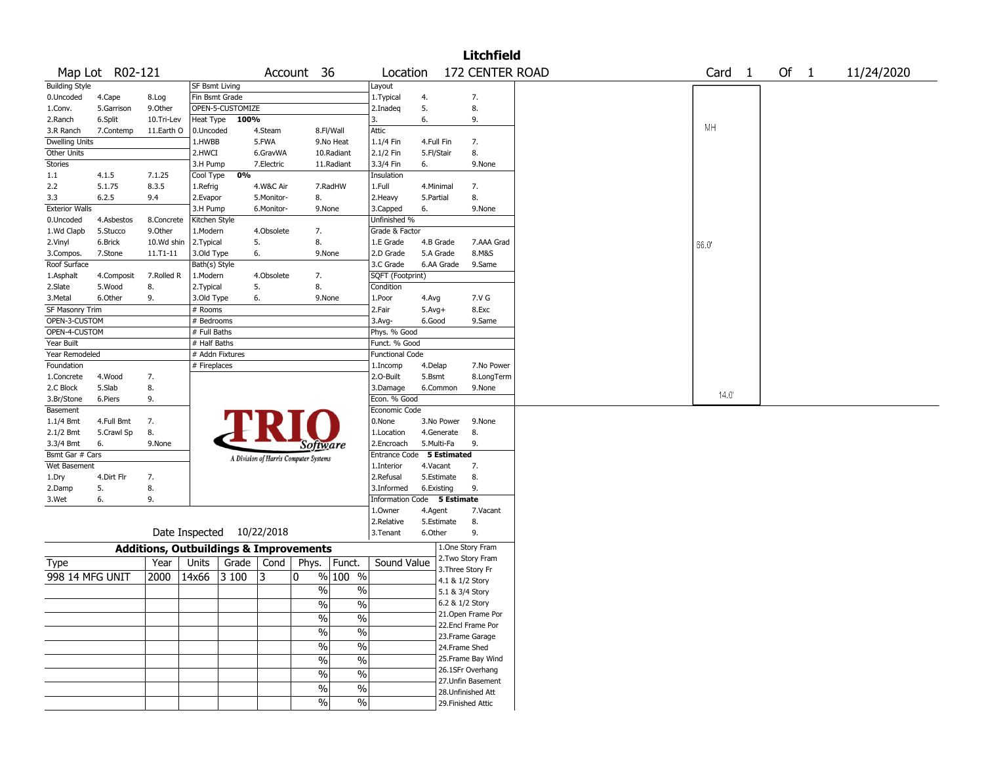| 172 CENTER ROAD<br>Map Lot R02-121<br>Of 1<br>Account 36<br>Location<br>Card <sub>1</sub><br>11/24/2020<br>SF Bsmt Living<br>Layout<br>Fin Bsmt Grade<br>7.<br>1. Typical<br>4.<br>4.Cape<br>8.Log<br>5.<br>8.<br>OPEN-5-CUSTOMIZE<br>5.Garrison<br>9.0ther<br>2.Inadeg<br>6.<br>9.<br>6.Split<br>Heat Type<br>100%<br>3.<br>10.Tri-Lev<br>МH<br>Attic<br>11.Earth O<br>8.Fl/Wall<br>7.Contemp<br>0.Uncoded<br>4.Steam<br><b>Dwelling Units</b><br>5.FWA<br>9.No Heat<br>1.HWBB<br>1.1/4 Fin<br>4.Full Fin<br>7.<br>8.<br>2.1/2 Fin<br>2.HWCI<br>6.GravWA<br>10.Radiant<br>5.Fl/Stair<br>9.None<br>3.H Pump<br>7.Electric<br>11.Radiant<br>3.3/4 Fin<br>6.<br>0%<br>Cool Type<br>4.1.5<br>7.1.25<br>Insulation<br>5.1.75<br>8.3.5<br>4.W&C Air<br>7.RadHW<br>1.Full<br>4.Minimal<br>7.<br>1.Refrig<br>8.<br>2.Heavy<br>6.2.5<br>9.4<br>2.Evapor<br>5.Monitor-<br>8.<br>5.Partial<br>9.None<br>3.H Pump<br>6.Monitor-<br>9.None<br>3.Capped<br>6.<br>Unfinished %<br>4.Asbestos<br>Kitchen Style<br>8.Concrete<br>9.Other<br>4.Obsolete<br>7.<br>Grade & Factor<br>5.Stucco<br>1.Modern<br>5.<br>8.<br>6.Brick<br>10.Wd shin<br>2. Typical<br>1.E Grade<br>4.B Grade<br>7.AAA Grad<br>66.0<br>8.M&S<br>$11.71 - 11$<br>3.Old Type<br>6.<br>9.None<br>2.D Grade<br>5.A Grade<br>7.Stone<br>Bath(s) Style<br>3.C Grade<br>6.AA Grade<br>9.Same<br>7.Rolled R<br>1.Modern<br>4.Obsolete<br>SQFT (Footprint)<br>4.Composit<br>7.<br>5.<br>8.<br>5.Wood<br>8.<br>2. Typical<br>Condition<br>6.Other<br>9.<br>3.Old Type<br>6.<br>9.None<br>1.Poor<br>7.V G<br>4.Avg<br>SF Masonry Trim<br># Rooms<br>2.Fair<br>$5.$ Avg $+$<br>8.Exc<br>OPEN-3-CUSTOM<br># Bedrooms<br>6.Good<br>9.Same<br>$3.$ Avg-<br>OPEN-4-CUSTOM<br># Full Baths<br>Phys. % Good<br># Half Baths<br>Funct. % Good<br># Addn Fixtures<br>Year Remodeled<br><b>Functional Code</b><br># Fireplaces<br>7.No Power<br>1.Incomp<br>4.Delap<br>4.Wood<br>7.<br>2.0-Built<br>5.Bsmt<br>8.LongTerm<br>8.<br>5.Slab<br>3.Damage<br>6.Common<br>9.None<br>$14.0^{\circ}$<br>9.<br>Econ. % Good<br>6.Piers<br>Economic Code<br>0.None<br>4.Full Bmt<br>7.<br>3.No Power<br>9.None<br>8.<br>8.<br>5.Crawl Sp<br>1.Location<br>4.Generate<br>5.Multi-Fa<br>9.<br>6.<br>9.None<br>2.Encroach<br>Software<br>5 Estimated<br>Bsmt Gar # Cars<br>Entrance Code<br>A Division of Harris Computer Systems<br>Wet Basement<br>1.Interior<br>4.Vacant<br>7.<br>8.<br>4.Dirt Flr<br>7.<br>2.Refusal<br>5.Estimate<br>5.<br>8.<br>9.<br>3.Informed<br>6.Existing<br>Information Code 5 Estimate<br>6.<br>9.<br>1.0wner<br>4.Agent<br>7.Vacant<br>8.<br>2.Relative<br>5.Estimate<br>Date Inspected 10/22/2018<br>9.<br>3. Tenant<br>6.Other<br>1.One Story Fram<br><b>Additions, Outbuildings &amp; Improvements</b><br>2. Two Story Fram<br>Sound Value<br>Year<br>Units<br>Grade<br>Cond<br>Phys.<br>Funct.<br>Type<br>3. Three Story Fr<br>998 14 MFG UNIT<br>2000<br>14x66<br>3 100<br>3<br>% 100 %<br>0<br>4.1 & 1/2 Story<br>$\frac{0}{0}$<br>$\%$<br>5.1 & 3/4 Story<br>6.2 & 1/2 Story<br>%<br>%<br>21. Open Frame Por<br>$\frac{1}{2}$<br>$\frac{9}{6}$<br>22.Encl Frame Por<br>$\sqrt{6}$<br>$\%$<br>23. Frame Garage<br>$\frac{9}{6}$<br>$\frac{9}{6}$<br>24.Frame Shed<br>25. Frame Bay Wind<br>$\sqrt{6}$<br>$\%$<br>26.1SFr Overhang<br>$\sqrt{6}$<br>$\%$<br>27. Unfin Basement<br>$\%$<br>$\%$<br>28. Unfinished Att<br>$\frac{1}{2}$<br>$\sqrt{6}$<br>29. Finished Attic |                       |  |  |  |  |  | <b>Litchfield</b> |  |  |  |  |
|----------------------------------------------------------------------------------------------------------------------------------------------------------------------------------------------------------------------------------------------------------------------------------------------------------------------------------------------------------------------------------------------------------------------------------------------------------------------------------------------------------------------------------------------------------------------------------------------------------------------------------------------------------------------------------------------------------------------------------------------------------------------------------------------------------------------------------------------------------------------------------------------------------------------------------------------------------------------------------------------------------------------------------------------------------------------------------------------------------------------------------------------------------------------------------------------------------------------------------------------------------------------------------------------------------------------------------------------------------------------------------------------------------------------------------------------------------------------------------------------------------------------------------------------------------------------------------------------------------------------------------------------------------------------------------------------------------------------------------------------------------------------------------------------------------------------------------------------------------------------------------------------------------------------------------------------------------------------------------------------------------------------------------------------------------------------------------------------------------------------------------------------------------------------------------------------------------------------------------------------------------------------------------------------------------------------------------------------------------------------------------------------------------------------------------------------------------------------------------------------------------------------------------------------------------------------------------------------------------------------------------------------------------------------------------------------------------------------------------------------------------------------------------------------------------------------------------------------------------------------------------------------------------------------------------------------------------------------------------------------------------------------------------------------------------------------------------------------------------------------------------------------------------------------------------------------------------------------------------------------------------------------------------------------------------------------------------------------------------------------------------------------------------------------------------|-----------------------|--|--|--|--|--|-------------------|--|--|--|--|
|                                                                                                                                                                                                                                                                                                                                                                                                                                                                                                                                                                                                                                                                                                                                                                                                                                                                                                                                                                                                                                                                                                                                                                                                                                                                                                                                                                                                                                                                                                                                                                                                                                                                                                                                                                                                                                                                                                                                                                                                                                                                                                                                                                                                                                                                                                                                                                                                                                                                                                                                                                                                                                                                                                                                                                                                                                                                                                                                                                                                                                                                                                                                                                                                                                                                                                                                                                                                                                  |                       |  |  |  |  |  |                   |  |  |  |  |
|                                                                                                                                                                                                                                                                                                                                                                                                                                                                                                                                                                                                                                                                                                                                                                                                                                                                                                                                                                                                                                                                                                                                                                                                                                                                                                                                                                                                                                                                                                                                                                                                                                                                                                                                                                                                                                                                                                                                                                                                                                                                                                                                                                                                                                                                                                                                                                                                                                                                                                                                                                                                                                                                                                                                                                                                                                                                                                                                                                                                                                                                                                                                                                                                                                                                                                                                                                                                                                  | <b>Building Style</b> |  |  |  |  |  |                   |  |  |  |  |
|                                                                                                                                                                                                                                                                                                                                                                                                                                                                                                                                                                                                                                                                                                                                                                                                                                                                                                                                                                                                                                                                                                                                                                                                                                                                                                                                                                                                                                                                                                                                                                                                                                                                                                                                                                                                                                                                                                                                                                                                                                                                                                                                                                                                                                                                                                                                                                                                                                                                                                                                                                                                                                                                                                                                                                                                                                                                                                                                                                                                                                                                                                                                                                                                                                                                                                                                                                                                                                  | 0.Uncoded             |  |  |  |  |  |                   |  |  |  |  |
|                                                                                                                                                                                                                                                                                                                                                                                                                                                                                                                                                                                                                                                                                                                                                                                                                                                                                                                                                                                                                                                                                                                                                                                                                                                                                                                                                                                                                                                                                                                                                                                                                                                                                                                                                                                                                                                                                                                                                                                                                                                                                                                                                                                                                                                                                                                                                                                                                                                                                                                                                                                                                                                                                                                                                                                                                                                                                                                                                                                                                                                                                                                                                                                                                                                                                                                                                                                                                                  | 1.Conv.               |  |  |  |  |  |                   |  |  |  |  |
|                                                                                                                                                                                                                                                                                                                                                                                                                                                                                                                                                                                                                                                                                                                                                                                                                                                                                                                                                                                                                                                                                                                                                                                                                                                                                                                                                                                                                                                                                                                                                                                                                                                                                                                                                                                                                                                                                                                                                                                                                                                                                                                                                                                                                                                                                                                                                                                                                                                                                                                                                                                                                                                                                                                                                                                                                                                                                                                                                                                                                                                                                                                                                                                                                                                                                                                                                                                                                                  | 2.Ranch               |  |  |  |  |  |                   |  |  |  |  |
|                                                                                                                                                                                                                                                                                                                                                                                                                                                                                                                                                                                                                                                                                                                                                                                                                                                                                                                                                                                                                                                                                                                                                                                                                                                                                                                                                                                                                                                                                                                                                                                                                                                                                                                                                                                                                                                                                                                                                                                                                                                                                                                                                                                                                                                                                                                                                                                                                                                                                                                                                                                                                                                                                                                                                                                                                                                                                                                                                                                                                                                                                                                                                                                                                                                                                                                                                                                                                                  | 3.R Ranch             |  |  |  |  |  |                   |  |  |  |  |
|                                                                                                                                                                                                                                                                                                                                                                                                                                                                                                                                                                                                                                                                                                                                                                                                                                                                                                                                                                                                                                                                                                                                                                                                                                                                                                                                                                                                                                                                                                                                                                                                                                                                                                                                                                                                                                                                                                                                                                                                                                                                                                                                                                                                                                                                                                                                                                                                                                                                                                                                                                                                                                                                                                                                                                                                                                                                                                                                                                                                                                                                                                                                                                                                                                                                                                                                                                                                                                  |                       |  |  |  |  |  |                   |  |  |  |  |
|                                                                                                                                                                                                                                                                                                                                                                                                                                                                                                                                                                                                                                                                                                                                                                                                                                                                                                                                                                                                                                                                                                                                                                                                                                                                                                                                                                                                                                                                                                                                                                                                                                                                                                                                                                                                                                                                                                                                                                                                                                                                                                                                                                                                                                                                                                                                                                                                                                                                                                                                                                                                                                                                                                                                                                                                                                                                                                                                                                                                                                                                                                                                                                                                                                                                                                                                                                                                                                  | Other Units           |  |  |  |  |  |                   |  |  |  |  |
|                                                                                                                                                                                                                                                                                                                                                                                                                                                                                                                                                                                                                                                                                                                                                                                                                                                                                                                                                                                                                                                                                                                                                                                                                                                                                                                                                                                                                                                                                                                                                                                                                                                                                                                                                                                                                                                                                                                                                                                                                                                                                                                                                                                                                                                                                                                                                                                                                                                                                                                                                                                                                                                                                                                                                                                                                                                                                                                                                                                                                                                                                                                                                                                                                                                                                                                                                                                                                                  | <b>Stories</b>        |  |  |  |  |  |                   |  |  |  |  |
|                                                                                                                                                                                                                                                                                                                                                                                                                                                                                                                                                                                                                                                                                                                                                                                                                                                                                                                                                                                                                                                                                                                                                                                                                                                                                                                                                                                                                                                                                                                                                                                                                                                                                                                                                                                                                                                                                                                                                                                                                                                                                                                                                                                                                                                                                                                                                                                                                                                                                                                                                                                                                                                                                                                                                                                                                                                                                                                                                                                                                                                                                                                                                                                                                                                                                                                                                                                                                                  | 1.1                   |  |  |  |  |  |                   |  |  |  |  |
|                                                                                                                                                                                                                                                                                                                                                                                                                                                                                                                                                                                                                                                                                                                                                                                                                                                                                                                                                                                                                                                                                                                                                                                                                                                                                                                                                                                                                                                                                                                                                                                                                                                                                                                                                                                                                                                                                                                                                                                                                                                                                                                                                                                                                                                                                                                                                                                                                                                                                                                                                                                                                                                                                                                                                                                                                                                                                                                                                                                                                                                                                                                                                                                                                                                                                                                                                                                                                                  | 2.2                   |  |  |  |  |  |                   |  |  |  |  |
|                                                                                                                                                                                                                                                                                                                                                                                                                                                                                                                                                                                                                                                                                                                                                                                                                                                                                                                                                                                                                                                                                                                                                                                                                                                                                                                                                                                                                                                                                                                                                                                                                                                                                                                                                                                                                                                                                                                                                                                                                                                                                                                                                                                                                                                                                                                                                                                                                                                                                                                                                                                                                                                                                                                                                                                                                                                                                                                                                                                                                                                                                                                                                                                                                                                                                                                                                                                                                                  | 3.3                   |  |  |  |  |  |                   |  |  |  |  |
|                                                                                                                                                                                                                                                                                                                                                                                                                                                                                                                                                                                                                                                                                                                                                                                                                                                                                                                                                                                                                                                                                                                                                                                                                                                                                                                                                                                                                                                                                                                                                                                                                                                                                                                                                                                                                                                                                                                                                                                                                                                                                                                                                                                                                                                                                                                                                                                                                                                                                                                                                                                                                                                                                                                                                                                                                                                                                                                                                                                                                                                                                                                                                                                                                                                                                                                                                                                                                                  | <b>Exterior Walls</b> |  |  |  |  |  |                   |  |  |  |  |
|                                                                                                                                                                                                                                                                                                                                                                                                                                                                                                                                                                                                                                                                                                                                                                                                                                                                                                                                                                                                                                                                                                                                                                                                                                                                                                                                                                                                                                                                                                                                                                                                                                                                                                                                                                                                                                                                                                                                                                                                                                                                                                                                                                                                                                                                                                                                                                                                                                                                                                                                                                                                                                                                                                                                                                                                                                                                                                                                                                                                                                                                                                                                                                                                                                                                                                                                                                                                                                  | 0.Uncoded             |  |  |  |  |  |                   |  |  |  |  |
|                                                                                                                                                                                                                                                                                                                                                                                                                                                                                                                                                                                                                                                                                                                                                                                                                                                                                                                                                                                                                                                                                                                                                                                                                                                                                                                                                                                                                                                                                                                                                                                                                                                                                                                                                                                                                                                                                                                                                                                                                                                                                                                                                                                                                                                                                                                                                                                                                                                                                                                                                                                                                                                                                                                                                                                                                                                                                                                                                                                                                                                                                                                                                                                                                                                                                                                                                                                                                                  | 1.Wd Clapb            |  |  |  |  |  |                   |  |  |  |  |
|                                                                                                                                                                                                                                                                                                                                                                                                                                                                                                                                                                                                                                                                                                                                                                                                                                                                                                                                                                                                                                                                                                                                                                                                                                                                                                                                                                                                                                                                                                                                                                                                                                                                                                                                                                                                                                                                                                                                                                                                                                                                                                                                                                                                                                                                                                                                                                                                                                                                                                                                                                                                                                                                                                                                                                                                                                                                                                                                                                                                                                                                                                                                                                                                                                                                                                                                                                                                                                  | 2.Vinyl               |  |  |  |  |  |                   |  |  |  |  |
|                                                                                                                                                                                                                                                                                                                                                                                                                                                                                                                                                                                                                                                                                                                                                                                                                                                                                                                                                                                                                                                                                                                                                                                                                                                                                                                                                                                                                                                                                                                                                                                                                                                                                                                                                                                                                                                                                                                                                                                                                                                                                                                                                                                                                                                                                                                                                                                                                                                                                                                                                                                                                                                                                                                                                                                                                                                                                                                                                                                                                                                                                                                                                                                                                                                                                                                                                                                                                                  | 3.Compos.             |  |  |  |  |  |                   |  |  |  |  |
|                                                                                                                                                                                                                                                                                                                                                                                                                                                                                                                                                                                                                                                                                                                                                                                                                                                                                                                                                                                                                                                                                                                                                                                                                                                                                                                                                                                                                                                                                                                                                                                                                                                                                                                                                                                                                                                                                                                                                                                                                                                                                                                                                                                                                                                                                                                                                                                                                                                                                                                                                                                                                                                                                                                                                                                                                                                                                                                                                                                                                                                                                                                                                                                                                                                                                                                                                                                                                                  | Roof Surface          |  |  |  |  |  |                   |  |  |  |  |
|                                                                                                                                                                                                                                                                                                                                                                                                                                                                                                                                                                                                                                                                                                                                                                                                                                                                                                                                                                                                                                                                                                                                                                                                                                                                                                                                                                                                                                                                                                                                                                                                                                                                                                                                                                                                                                                                                                                                                                                                                                                                                                                                                                                                                                                                                                                                                                                                                                                                                                                                                                                                                                                                                                                                                                                                                                                                                                                                                                                                                                                                                                                                                                                                                                                                                                                                                                                                                                  | 1.Asphalt             |  |  |  |  |  |                   |  |  |  |  |
|                                                                                                                                                                                                                                                                                                                                                                                                                                                                                                                                                                                                                                                                                                                                                                                                                                                                                                                                                                                                                                                                                                                                                                                                                                                                                                                                                                                                                                                                                                                                                                                                                                                                                                                                                                                                                                                                                                                                                                                                                                                                                                                                                                                                                                                                                                                                                                                                                                                                                                                                                                                                                                                                                                                                                                                                                                                                                                                                                                                                                                                                                                                                                                                                                                                                                                                                                                                                                                  | 2.Slate               |  |  |  |  |  |                   |  |  |  |  |
|                                                                                                                                                                                                                                                                                                                                                                                                                                                                                                                                                                                                                                                                                                                                                                                                                                                                                                                                                                                                                                                                                                                                                                                                                                                                                                                                                                                                                                                                                                                                                                                                                                                                                                                                                                                                                                                                                                                                                                                                                                                                                                                                                                                                                                                                                                                                                                                                                                                                                                                                                                                                                                                                                                                                                                                                                                                                                                                                                                                                                                                                                                                                                                                                                                                                                                                                                                                                                                  | 3.Metal               |  |  |  |  |  |                   |  |  |  |  |
|                                                                                                                                                                                                                                                                                                                                                                                                                                                                                                                                                                                                                                                                                                                                                                                                                                                                                                                                                                                                                                                                                                                                                                                                                                                                                                                                                                                                                                                                                                                                                                                                                                                                                                                                                                                                                                                                                                                                                                                                                                                                                                                                                                                                                                                                                                                                                                                                                                                                                                                                                                                                                                                                                                                                                                                                                                                                                                                                                                                                                                                                                                                                                                                                                                                                                                                                                                                                                                  |                       |  |  |  |  |  |                   |  |  |  |  |
|                                                                                                                                                                                                                                                                                                                                                                                                                                                                                                                                                                                                                                                                                                                                                                                                                                                                                                                                                                                                                                                                                                                                                                                                                                                                                                                                                                                                                                                                                                                                                                                                                                                                                                                                                                                                                                                                                                                                                                                                                                                                                                                                                                                                                                                                                                                                                                                                                                                                                                                                                                                                                                                                                                                                                                                                                                                                                                                                                                                                                                                                                                                                                                                                                                                                                                                                                                                                                                  |                       |  |  |  |  |  |                   |  |  |  |  |
|                                                                                                                                                                                                                                                                                                                                                                                                                                                                                                                                                                                                                                                                                                                                                                                                                                                                                                                                                                                                                                                                                                                                                                                                                                                                                                                                                                                                                                                                                                                                                                                                                                                                                                                                                                                                                                                                                                                                                                                                                                                                                                                                                                                                                                                                                                                                                                                                                                                                                                                                                                                                                                                                                                                                                                                                                                                                                                                                                                                                                                                                                                                                                                                                                                                                                                                                                                                                                                  |                       |  |  |  |  |  |                   |  |  |  |  |
|                                                                                                                                                                                                                                                                                                                                                                                                                                                                                                                                                                                                                                                                                                                                                                                                                                                                                                                                                                                                                                                                                                                                                                                                                                                                                                                                                                                                                                                                                                                                                                                                                                                                                                                                                                                                                                                                                                                                                                                                                                                                                                                                                                                                                                                                                                                                                                                                                                                                                                                                                                                                                                                                                                                                                                                                                                                                                                                                                                                                                                                                                                                                                                                                                                                                                                                                                                                                                                  | Year Built            |  |  |  |  |  |                   |  |  |  |  |
|                                                                                                                                                                                                                                                                                                                                                                                                                                                                                                                                                                                                                                                                                                                                                                                                                                                                                                                                                                                                                                                                                                                                                                                                                                                                                                                                                                                                                                                                                                                                                                                                                                                                                                                                                                                                                                                                                                                                                                                                                                                                                                                                                                                                                                                                                                                                                                                                                                                                                                                                                                                                                                                                                                                                                                                                                                                                                                                                                                                                                                                                                                                                                                                                                                                                                                                                                                                                                                  |                       |  |  |  |  |  |                   |  |  |  |  |
|                                                                                                                                                                                                                                                                                                                                                                                                                                                                                                                                                                                                                                                                                                                                                                                                                                                                                                                                                                                                                                                                                                                                                                                                                                                                                                                                                                                                                                                                                                                                                                                                                                                                                                                                                                                                                                                                                                                                                                                                                                                                                                                                                                                                                                                                                                                                                                                                                                                                                                                                                                                                                                                                                                                                                                                                                                                                                                                                                                                                                                                                                                                                                                                                                                                                                                                                                                                                                                  | Foundation            |  |  |  |  |  |                   |  |  |  |  |
|                                                                                                                                                                                                                                                                                                                                                                                                                                                                                                                                                                                                                                                                                                                                                                                                                                                                                                                                                                                                                                                                                                                                                                                                                                                                                                                                                                                                                                                                                                                                                                                                                                                                                                                                                                                                                                                                                                                                                                                                                                                                                                                                                                                                                                                                                                                                                                                                                                                                                                                                                                                                                                                                                                                                                                                                                                                                                                                                                                                                                                                                                                                                                                                                                                                                                                                                                                                                                                  | 1.Concrete            |  |  |  |  |  |                   |  |  |  |  |
|                                                                                                                                                                                                                                                                                                                                                                                                                                                                                                                                                                                                                                                                                                                                                                                                                                                                                                                                                                                                                                                                                                                                                                                                                                                                                                                                                                                                                                                                                                                                                                                                                                                                                                                                                                                                                                                                                                                                                                                                                                                                                                                                                                                                                                                                                                                                                                                                                                                                                                                                                                                                                                                                                                                                                                                                                                                                                                                                                                                                                                                                                                                                                                                                                                                                                                                                                                                                                                  | 2.C Block             |  |  |  |  |  |                   |  |  |  |  |
|                                                                                                                                                                                                                                                                                                                                                                                                                                                                                                                                                                                                                                                                                                                                                                                                                                                                                                                                                                                                                                                                                                                                                                                                                                                                                                                                                                                                                                                                                                                                                                                                                                                                                                                                                                                                                                                                                                                                                                                                                                                                                                                                                                                                                                                                                                                                                                                                                                                                                                                                                                                                                                                                                                                                                                                                                                                                                                                                                                                                                                                                                                                                                                                                                                                                                                                                                                                                                                  | 3.Br/Stone            |  |  |  |  |  |                   |  |  |  |  |
|                                                                                                                                                                                                                                                                                                                                                                                                                                                                                                                                                                                                                                                                                                                                                                                                                                                                                                                                                                                                                                                                                                                                                                                                                                                                                                                                                                                                                                                                                                                                                                                                                                                                                                                                                                                                                                                                                                                                                                                                                                                                                                                                                                                                                                                                                                                                                                                                                                                                                                                                                                                                                                                                                                                                                                                                                                                                                                                                                                                                                                                                                                                                                                                                                                                                                                                                                                                                                                  | Basement              |  |  |  |  |  |                   |  |  |  |  |
|                                                                                                                                                                                                                                                                                                                                                                                                                                                                                                                                                                                                                                                                                                                                                                                                                                                                                                                                                                                                                                                                                                                                                                                                                                                                                                                                                                                                                                                                                                                                                                                                                                                                                                                                                                                                                                                                                                                                                                                                                                                                                                                                                                                                                                                                                                                                                                                                                                                                                                                                                                                                                                                                                                                                                                                                                                                                                                                                                                                                                                                                                                                                                                                                                                                                                                                                                                                                                                  | $1.1/4$ Bmt           |  |  |  |  |  |                   |  |  |  |  |
|                                                                                                                                                                                                                                                                                                                                                                                                                                                                                                                                                                                                                                                                                                                                                                                                                                                                                                                                                                                                                                                                                                                                                                                                                                                                                                                                                                                                                                                                                                                                                                                                                                                                                                                                                                                                                                                                                                                                                                                                                                                                                                                                                                                                                                                                                                                                                                                                                                                                                                                                                                                                                                                                                                                                                                                                                                                                                                                                                                                                                                                                                                                                                                                                                                                                                                                                                                                                                                  | 2.1/2 Bmt             |  |  |  |  |  |                   |  |  |  |  |
|                                                                                                                                                                                                                                                                                                                                                                                                                                                                                                                                                                                                                                                                                                                                                                                                                                                                                                                                                                                                                                                                                                                                                                                                                                                                                                                                                                                                                                                                                                                                                                                                                                                                                                                                                                                                                                                                                                                                                                                                                                                                                                                                                                                                                                                                                                                                                                                                                                                                                                                                                                                                                                                                                                                                                                                                                                                                                                                                                                                                                                                                                                                                                                                                                                                                                                                                                                                                                                  | 3.3/4 Bmt             |  |  |  |  |  |                   |  |  |  |  |
|                                                                                                                                                                                                                                                                                                                                                                                                                                                                                                                                                                                                                                                                                                                                                                                                                                                                                                                                                                                                                                                                                                                                                                                                                                                                                                                                                                                                                                                                                                                                                                                                                                                                                                                                                                                                                                                                                                                                                                                                                                                                                                                                                                                                                                                                                                                                                                                                                                                                                                                                                                                                                                                                                                                                                                                                                                                                                                                                                                                                                                                                                                                                                                                                                                                                                                                                                                                                                                  |                       |  |  |  |  |  |                   |  |  |  |  |
|                                                                                                                                                                                                                                                                                                                                                                                                                                                                                                                                                                                                                                                                                                                                                                                                                                                                                                                                                                                                                                                                                                                                                                                                                                                                                                                                                                                                                                                                                                                                                                                                                                                                                                                                                                                                                                                                                                                                                                                                                                                                                                                                                                                                                                                                                                                                                                                                                                                                                                                                                                                                                                                                                                                                                                                                                                                                                                                                                                                                                                                                                                                                                                                                                                                                                                                                                                                                                                  |                       |  |  |  |  |  |                   |  |  |  |  |
|                                                                                                                                                                                                                                                                                                                                                                                                                                                                                                                                                                                                                                                                                                                                                                                                                                                                                                                                                                                                                                                                                                                                                                                                                                                                                                                                                                                                                                                                                                                                                                                                                                                                                                                                                                                                                                                                                                                                                                                                                                                                                                                                                                                                                                                                                                                                                                                                                                                                                                                                                                                                                                                                                                                                                                                                                                                                                                                                                                                                                                                                                                                                                                                                                                                                                                                                                                                                                                  | 1.Dry                 |  |  |  |  |  |                   |  |  |  |  |
|                                                                                                                                                                                                                                                                                                                                                                                                                                                                                                                                                                                                                                                                                                                                                                                                                                                                                                                                                                                                                                                                                                                                                                                                                                                                                                                                                                                                                                                                                                                                                                                                                                                                                                                                                                                                                                                                                                                                                                                                                                                                                                                                                                                                                                                                                                                                                                                                                                                                                                                                                                                                                                                                                                                                                                                                                                                                                                                                                                                                                                                                                                                                                                                                                                                                                                                                                                                                                                  | 2.Damp                |  |  |  |  |  |                   |  |  |  |  |
|                                                                                                                                                                                                                                                                                                                                                                                                                                                                                                                                                                                                                                                                                                                                                                                                                                                                                                                                                                                                                                                                                                                                                                                                                                                                                                                                                                                                                                                                                                                                                                                                                                                                                                                                                                                                                                                                                                                                                                                                                                                                                                                                                                                                                                                                                                                                                                                                                                                                                                                                                                                                                                                                                                                                                                                                                                                                                                                                                                                                                                                                                                                                                                                                                                                                                                                                                                                                                                  | 3.Wet                 |  |  |  |  |  |                   |  |  |  |  |
|                                                                                                                                                                                                                                                                                                                                                                                                                                                                                                                                                                                                                                                                                                                                                                                                                                                                                                                                                                                                                                                                                                                                                                                                                                                                                                                                                                                                                                                                                                                                                                                                                                                                                                                                                                                                                                                                                                                                                                                                                                                                                                                                                                                                                                                                                                                                                                                                                                                                                                                                                                                                                                                                                                                                                                                                                                                                                                                                                                                                                                                                                                                                                                                                                                                                                                                                                                                                                                  |                       |  |  |  |  |  |                   |  |  |  |  |
|                                                                                                                                                                                                                                                                                                                                                                                                                                                                                                                                                                                                                                                                                                                                                                                                                                                                                                                                                                                                                                                                                                                                                                                                                                                                                                                                                                                                                                                                                                                                                                                                                                                                                                                                                                                                                                                                                                                                                                                                                                                                                                                                                                                                                                                                                                                                                                                                                                                                                                                                                                                                                                                                                                                                                                                                                                                                                                                                                                                                                                                                                                                                                                                                                                                                                                                                                                                                                                  |                       |  |  |  |  |  |                   |  |  |  |  |
|                                                                                                                                                                                                                                                                                                                                                                                                                                                                                                                                                                                                                                                                                                                                                                                                                                                                                                                                                                                                                                                                                                                                                                                                                                                                                                                                                                                                                                                                                                                                                                                                                                                                                                                                                                                                                                                                                                                                                                                                                                                                                                                                                                                                                                                                                                                                                                                                                                                                                                                                                                                                                                                                                                                                                                                                                                                                                                                                                                                                                                                                                                                                                                                                                                                                                                                                                                                                                                  |                       |  |  |  |  |  |                   |  |  |  |  |
|                                                                                                                                                                                                                                                                                                                                                                                                                                                                                                                                                                                                                                                                                                                                                                                                                                                                                                                                                                                                                                                                                                                                                                                                                                                                                                                                                                                                                                                                                                                                                                                                                                                                                                                                                                                                                                                                                                                                                                                                                                                                                                                                                                                                                                                                                                                                                                                                                                                                                                                                                                                                                                                                                                                                                                                                                                                                                                                                                                                                                                                                                                                                                                                                                                                                                                                                                                                                                                  |                       |  |  |  |  |  |                   |  |  |  |  |
|                                                                                                                                                                                                                                                                                                                                                                                                                                                                                                                                                                                                                                                                                                                                                                                                                                                                                                                                                                                                                                                                                                                                                                                                                                                                                                                                                                                                                                                                                                                                                                                                                                                                                                                                                                                                                                                                                                                                                                                                                                                                                                                                                                                                                                                                                                                                                                                                                                                                                                                                                                                                                                                                                                                                                                                                                                                                                                                                                                                                                                                                                                                                                                                                                                                                                                                                                                                                                                  |                       |  |  |  |  |  |                   |  |  |  |  |
|                                                                                                                                                                                                                                                                                                                                                                                                                                                                                                                                                                                                                                                                                                                                                                                                                                                                                                                                                                                                                                                                                                                                                                                                                                                                                                                                                                                                                                                                                                                                                                                                                                                                                                                                                                                                                                                                                                                                                                                                                                                                                                                                                                                                                                                                                                                                                                                                                                                                                                                                                                                                                                                                                                                                                                                                                                                                                                                                                                                                                                                                                                                                                                                                                                                                                                                                                                                                                                  |                       |  |  |  |  |  |                   |  |  |  |  |
|                                                                                                                                                                                                                                                                                                                                                                                                                                                                                                                                                                                                                                                                                                                                                                                                                                                                                                                                                                                                                                                                                                                                                                                                                                                                                                                                                                                                                                                                                                                                                                                                                                                                                                                                                                                                                                                                                                                                                                                                                                                                                                                                                                                                                                                                                                                                                                                                                                                                                                                                                                                                                                                                                                                                                                                                                                                                                                                                                                                                                                                                                                                                                                                                                                                                                                                                                                                                                                  |                       |  |  |  |  |  |                   |  |  |  |  |
|                                                                                                                                                                                                                                                                                                                                                                                                                                                                                                                                                                                                                                                                                                                                                                                                                                                                                                                                                                                                                                                                                                                                                                                                                                                                                                                                                                                                                                                                                                                                                                                                                                                                                                                                                                                                                                                                                                                                                                                                                                                                                                                                                                                                                                                                                                                                                                                                                                                                                                                                                                                                                                                                                                                                                                                                                                                                                                                                                                                                                                                                                                                                                                                                                                                                                                                                                                                                                                  |                       |  |  |  |  |  |                   |  |  |  |  |
|                                                                                                                                                                                                                                                                                                                                                                                                                                                                                                                                                                                                                                                                                                                                                                                                                                                                                                                                                                                                                                                                                                                                                                                                                                                                                                                                                                                                                                                                                                                                                                                                                                                                                                                                                                                                                                                                                                                                                                                                                                                                                                                                                                                                                                                                                                                                                                                                                                                                                                                                                                                                                                                                                                                                                                                                                                                                                                                                                                                                                                                                                                                                                                                                                                                                                                                                                                                                                                  |                       |  |  |  |  |  |                   |  |  |  |  |
|                                                                                                                                                                                                                                                                                                                                                                                                                                                                                                                                                                                                                                                                                                                                                                                                                                                                                                                                                                                                                                                                                                                                                                                                                                                                                                                                                                                                                                                                                                                                                                                                                                                                                                                                                                                                                                                                                                                                                                                                                                                                                                                                                                                                                                                                                                                                                                                                                                                                                                                                                                                                                                                                                                                                                                                                                                                                                                                                                                                                                                                                                                                                                                                                                                                                                                                                                                                                                                  |                       |  |  |  |  |  |                   |  |  |  |  |
|                                                                                                                                                                                                                                                                                                                                                                                                                                                                                                                                                                                                                                                                                                                                                                                                                                                                                                                                                                                                                                                                                                                                                                                                                                                                                                                                                                                                                                                                                                                                                                                                                                                                                                                                                                                                                                                                                                                                                                                                                                                                                                                                                                                                                                                                                                                                                                                                                                                                                                                                                                                                                                                                                                                                                                                                                                                                                                                                                                                                                                                                                                                                                                                                                                                                                                                                                                                                                                  |                       |  |  |  |  |  |                   |  |  |  |  |
|                                                                                                                                                                                                                                                                                                                                                                                                                                                                                                                                                                                                                                                                                                                                                                                                                                                                                                                                                                                                                                                                                                                                                                                                                                                                                                                                                                                                                                                                                                                                                                                                                                                                                                                                                                                                                                                                                                                                                                                                                                                                                                                                                                                                                                                                                                                                                                                                                                                                                                                                                                                                                                                                                                                                                                                                                                                                                                                                                                                                                                                                                                                                                                                                                                                                                                                                                                                                                                  |                       |  |  |  |  |  |                   |  |  |  |  |
|                                                                                                                                                                                                                                                                                                                                                                                                                                                                                                                                                                                                                                                                                                                                                                                                                                                                                                                                                                                                                                                                                                                                                                                                                                                                                                                                                                                                                                                                                                                                                                                                                                                                                                                                                                                                                                                                                                                                                                                                                                                                                                                                                                                                                                                                                                                                                                                                                                                                                                                                                                                                                                                                                                                                                                                                                                                                                                                                                                                                                                                                                                                                                                                                                                                                                                                                                                                                                                  |                       |  |  |  |  |  |                   |  |  |  |  |
|                                                                                                                                                                                                                                                                                                                                                                                                                                                                                                                                                                                                                                                                                                                                                                                                                                                                                                                                                                                                                                                                                                                                                                                                                                                                                                                                                                                                                                                                                                                                                                                                                                                                                                                                                                                                                                                                                                                                                                                                                                                                                                                                                                                                                                                                                                                                                                                                                                                                                                                                                                                                                                                                                                                                                                                                                                                                                                                                                                                                                                                                                                                                                                                                                                                                                                                                                                                                                                  |                       |  |  |  |  |  |                   |  |  |  |  |
|                                                                                                                                                                                                                                                                                                                                                                                                                                                                                                                                                                                                                                                                                                                                                                                                                                                                                                                                                                                                                                                                                                                                                                                                                                                                                                                                                                                                                                                                                                                                                                                                                                                                                                                                                                                                                                                                                                                                                                                                                                                                                                                                                                                                                                                                                                                                                                                                                                                                                                                                                                                                                                                                                                                                                                                                                                                                                                                                                                                                                                                                                                                                                                                                                                                                                                                                                                                                                                  |                       |  |  |  |  |  |                   |  |  |  |  |
|                                                                                                                                                                                                                                                                                                                                                                                                                                                                                                                                                                                                                                                                                                                                                                                                                                                                                                                                                                                                                                                                                                                                                                                                                                                                                                                                                                                                                                                                                                                                                                                                                                                                                                                                                                                                                                                                                                                                                                                                                                                                                                                                                                                                                                                                                                                                                                                                                                                                                                                                                                                                                                                                                                                                                                                                                                                                                                                                                                                                                                                                                                                                                                                                                                                                                                                                                                                                                                  |                       |  |  |  |  |  |                   |  |  |  |  |
|                                                                                                                                                                                                                                                                                                                                                                                                                                                                                                                                                                                                                                                                                                                                                                                                                                                                                                                                                                                                                                                                                                                                                                                                                                                                                                                                                                                                                                                                                                                                                                                                                                                                                                                                                                                                                                                                                                                                                                                                                                                                                                                                                                                                                                                                                                                                                                                                                                                                                                                                                                                                                                                                                                                                                                                                                                                                                                                                                                                                                                                                                                                                                                                                                                                                                                                                                                                                                                  |                       |  |  |  |  |  |                   |  |  |  |  |
|                                                                                                                                                                                                                                                                                                                                                                                                                                                                                                                                                                                                                                                                                                                                                                                                                                                                                                                                                                                                                                                                                                                                                                                                                                                                                                                                                                                                                                                                                                                                                                                                                                                                                                                                                                                                                                                                                                                                                                                                                                                                                                                                                                                                                                                                                                                                                                                                                                                                                                                                                                                                                                                                                                                                                                                                                                                                                                                                                                                                                                                                                                                                                                                                                                                                                                                                                                                                                                  |                       |  |  |  |  |  |                   |  |  |  |  |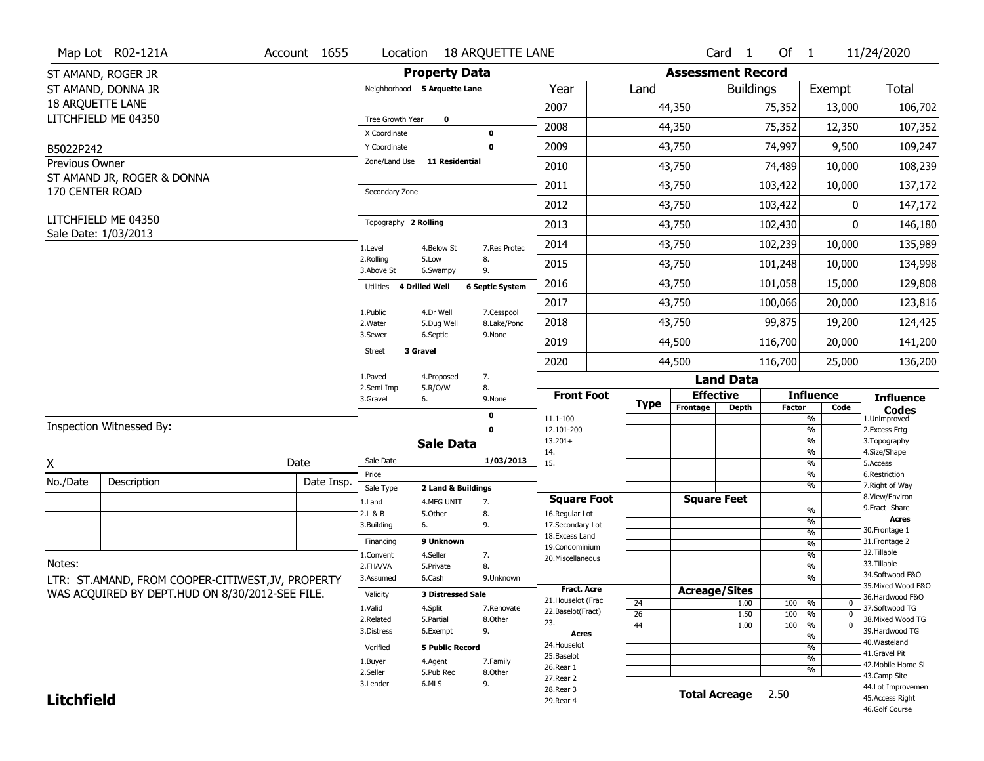|                             | Map Lot R02-121A                                  | Account 1655 | Location                     |                              | <b>18 ARQUETTE LANE</b> |                                         |                       |                          | Card <sub>1</sub>  | Of $1$        |                                      | 11/24/2020                            |
|-----------------------------|---------------------------------------------------|--------------|------------------------------|------------------------------|-------------------------|-----------------------------------------|-----------------------|--------------------------|--------------------|---------------|--------------------------------------|---------------------------------------|
|                             | ST AMAND, ROGER JR                                |              |                              | <b>Property Data</b>         |                         |                                         |                       | <b>Assessment Record</b> |                    |               |                                      |                                       |
|                             | ST AMAND, DONNA JR                                |              |                              | Neighborhood 5 Arquette Lane |                         | Year                                    | Land                  |                          | <b>Buildings</b>   |               | Exempt                               | Total                                 |
| 18 ARQUETTE LANE            |                                                   |              |                              |                              |                         | 2007                                    |                       | 44,350                   |                    | 75,352        | 13,000                               | 106,702                               |
|                             | LITCHFIELD ME 04350                               |              | Tree Growth Year             | $\mathbf 0$                  |                         | 2008                                    |                       | 44,350                   |                    | 75,352        | 12,350                               | 107,352                               |
|                             |                                                   |              | X Coordinate<br>Y Coordinate |                              | 0<br>$\mathbf 0$        | 2009                                    |                       | 43,750                   |                    | 74,997        | 9,500                                | 109,247                               |
| B5022P242<br>Previous Owner |                                                   |              | Zone/Land Use                | <b>11 Residential</b>        |                         |                                         |                       |                          |                    |               |                                      |                                       |
|                             | ST AMAND JR, ROGER & DONNA                        |              |                              |                              |                         | 2010                                    |                       | 43,750                   |                    | 74,489        | 10,000                               | 108,239                               |
| 170 CENTER ROAD             |                                                   |              | Secondary Zone               |                              |                         | 2011                                    |                       | 43,750                   |                    | 103,422       | 10,000                               | 137,172                               |
|                             |                                                   |              |                              |                              |                         | 2012                                    |                       | 43,750                   |                    | 103,422       | 0                                    | 147,172                               |
|                             | LITCHFIELD ME 04350<br>Sale Date: 1/03/2013       |              | Topography 2 Rolling         |                              |                         | 2013                                    |                       | 43,750                   |                    | 102,430       | 0                                    | 146,180                               |
|                             |                                                   |              | 1.Level                      | 4.Below St                   | 7.Res Protec            | 2014                                    |                       | 43,750                   |                    | 102,239       | 10,000                               | 135,989                               |
|                             |                                                   |              | 2.Rolling<br>3.Above St      | 5.Low<br>6.Swampy            | 8.<br>9.                | 2015                                    |                       | 43,750                   |                    | 101,248       | 10,000                               | 134,998                               |
|                             |                                                   |              | Utilities                    | 4 Drilled Well               | <b>6 Septic System</b>  | 2016                                    |                       | 43,750                   |                    | 101,058       | 15,000                               | 129,808                               |
|                             |                                                   |              | 1.Public                     | 4.Dr Well                    | 7.Cesspool              | 2017                                    |                       | 43,750                   |                    | 100,066       | 20,000                               | 123,816                               |
|                             |                                                   |              | 2. Water                     | 5.Dug Well                   | 8.Lake/Pond             | 2018                                    |                       | 43,750                   |                    | 99,875        | 19,200                               | 124,425                               |
|                             |                                                   |              | 3.Sewer                      | 6.Septic                     | 9.None                  | 2019                                    |                       | 44,500                   |                    | 116,700       | 20,000                               | 141,200                               |
|                             |                                                   |              | Street                       | 3 Gravel                     |                         | 2020                                    |                       | 44,500                   |                    | 116,700       | 25,000                               | 136,200                               |
|                             |                                                   |              | 1.Paved                      | 4.Proposed                   | 7.                      |                                         |                       |                          | <b>Land Data</b>   |               |                                      |                                       |
|                             |                                                   |              | 2.Semi Imp<br>3.Gravel       | 5.R/O/W<br>6.                | 8.<br>9.None            | <b>Front Foot</b>                       |                       |                          | <b>Effective</b>   |               | <b>Influence</b>                     | <b>Influence</b>                      |
|                             |                                                   |              |                              |                              |                         |                                         |                       |                          |                    |               |                                      |                                       |
|                             |                                                   |              |                              |                              | $\mathbf 0$             | 11.1-100                                | Type                  | Frontage                 | <b>Depth</b>       | <b>Factor</b> | Code<br>$\overline{\frac{9}{6}}$     | <b>Codes</b><br>1.Unimproved          |
|                             | Inspection Witnessed By:                          |              |                              |                              | $\mathbf 0$             | 12.101-200                              |                       |                          |                    |               | $\frac{9}{6}$                        | 2. Excess Frtg                        |
|                             |                                                   |              |                              | <b>Sale Data</b>             |                         | $13.201+$<br>14.                        |                       |                          |                    |               | %<br>%                               | 3. Topography                         |
| X                           |                                                   | Date         | Sale Date                    |                              | 1/03/2013               | 15.                                     |                       |                          |                    |               | $\frac{9}{6}$                        | 4.Size/Shape<br>5.Access              |
| No./Date                    | Description                                       | Date Insp.   | Price                        |                              |                         |                                         |                       |                          |                    |               | %                                    | 6.Restriction                         |
|                             |                                                   |              | Sale Type                    | 2 Land & Buildings           |                         | <b>Square Foot</b>                      |                       |                          | <b>Square Feet</b> |               | %                                    | 7. Right of Way<br>8.View/Environ     |
|                             |                                                   |              | 1.Land<br>2.L & B            | 4.MFG UNIT<br>5.0ther        | 7.<br>8.                | 16.Regular Lot                          |                       |                          |                    |               | $\frac{9}{6}$                        | 9. Fract Share                        |
|                             |                                                   |              | 3.Building                   | 6.                           | 9.                      | 17.Secondary Lot                        |                       |                          |                    |               | %                                    | <b>Acres</b><br>30. Frontage 1        |
|                             |                                                   |              | Financing                    | 9 Unknown                    |                         | 18. Excess Land                         |                       |                          |                    |               | %<br>%                               | 31. Frontage 2                        |
|                             |                                                   |              | 1.Convent                    | 4.Seller                     | 7.                      | 19.Condominium<br>20. Miscellaneous     |                       |                          |                    |               | %                                    | 32. Tillable                          |
| Notes:                      |                                                   |              | 2.FHA/VA                     | 5.Private                    | 8.                      |                                         |                       |                          |                    |               | %                                    | 33.Tillable                           |
|                             | LTR: ST.AMAND, FROM COOPER-CITIWEST, JV, PROPERTY |              | 3.Assumed                    | 6.Cash                       | 9.Unknown               |                                         |                       |                          |                    |               | %                                    | 34.Softwood F&O<br>35. Mixed Wood F&O |
|                             | WAS ACQUIRED BY DEPT.HUD ON 8/30/2012-SEE FILE.   |              | Validity                     | <b>3 Distressed Sale</b>     |                         | <b>Fract. Acre</b>                      |                       | <b>Acreage/Sites</b>     |                    |               |                                      | 36.Hardwood F&O                       |
|                             |                                                   |              | 1.Valid                      | 4.Split                      | 7.Renovate              | 21. Houselot (Frac<br>22.Baselot(Fract) | 24                    |                          | 1.00               | 100           | %<br>0                               | 37.Softwood TG                        |
|                             |                                                   |              | 2.Related                    | 5.Partial                    | 8.Other                 | 23.                                     | $\overline{26}$<br>44 |                          | 1.50<br>1.00       | 100<br>100    | %<br>$\mathbf 0$<br>%<br>$\mathbf 0$ | 38. Mixed Wood TG                     |
|                             |                                                   |              | 3.Distress                   | 6.Exempt                     | 9.                      | <b>Acres</b>                            |                       |                          |                    |               | %                                    | 39.Hardwood TG                        |
|                             |                                                   |              | Verified                     | <b>5 Public Record</b>       |                         | 24. Houselot                            |                       |                          |                    |               | %                                    | 40. Wasteland                         |
|                             |                                                   |              | 1.Buyer                      | 4.Agent                      | 7.Family                | 25.Baselot                              |                       |                          |                    |               | %                                    | 41.Gravel Pit<br>42. Mobile Home Si   |
|                             |                                                   |              | 2.Seller                     | 5.Pub Rec                    | 8.Other                 | 26.Rear 1<br>27. Rear 2                 |                       |                          |                    |               | %                                    | 43.Camp Site                          |
| <b>Litchfield</b>           |                                                   |              | 3.Lender                     | 6.MLS                        | 9.                      | 28. Rear 3                              |                       |                          | Total Acreage 2.50 |               |                                      | 44.Lot Improvemen<br>45.Access Right  |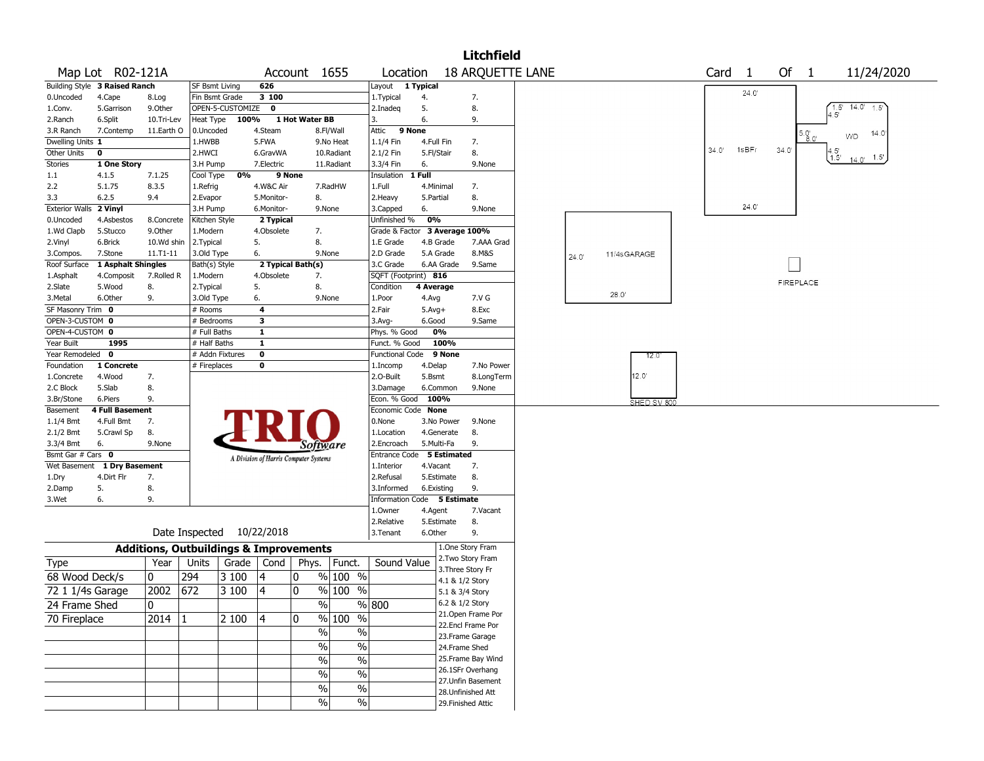|                               |                               |            |                                                   |                  |              |                                       |            |                               |            |            | <b>Litchfield</b>       |       |                |            |       |       |      |                  |                                            |
|-------------------------------|-------------------------------|------------|---------------------------------------------------|------------------|--------------|---------------------------------------|------------|-------------------------------|------------|------------|-------------------------|-------|----------------|------------|-------|-------|------|------------------|--------------------------------------------|
|                               | Map Lot R02-121A              |            |                                                   |                  |              | Account 1655                          |            | Location                      |            |            | <b>18 ARQUETTE LANE</b> |       |                |            | Card  | -1    | Of 1 |                  | 11/24/2020                                 |
|                               | Building Style 3 Raised Ranch |            | <b>SF Bsmt Living</b>                             |                  | 626          |                                       |            | Layout 1 Typical              |            |            |                         |       |                |            |       |       |      |                  |                                            |
| 0.Uncoded                     | 4.Cape                        | 8.Log      |                                                   | Fin Bsmt Grade   | 3 100        |                                       |            | 1. Typical                    | 4.         |            | 7.                      |       |                |            |       | 24.0' |      |                  |                                            |
| 1.Conv.                       | 5.Garrison                    | 9.Other    |                                                   | OPEN-5-CUSTOMIZE | $\mathbf{o}$ |                                       |            | 2.Inadeg                      | 5.         |            | 8.                      |       |                |            |       |       |      |                  | $\sqrt{1.5}$ <sup>1</sup><br>14.0'<br>1.5' |
| 2.Ranch                       | 6.Split                       | 10.Tri-Lev | Heat Type                                         | 100%             |              | 1 Hot Water BB                        |            | 3.                            | 6.         |            | 9.                      |       |                |            |       |       |      |                  |                                            |
| 3.R Ranch                     | 7.Contemp                     | 11.Earth O | 0.Uncoded                                         |                  | 4.Steam      |                                       | 8.Fl/Wall  | 9 None<br>Attic               |            |            |                         |       |                |            |       |       |      |                  | 14.0'<br>WD                                |
| Dwelling Units 1              |                               |            | 1.HWBB                                            |                  | 5.FWA        |                                       | 9.No Heat  | 1.1/4 Fin                     | 4.Full Fin |            | 7.                      |       |                |            |       |       |      |                  |                                            |
| Other Units                   | 0                             |            | 2.HWCI                                            |                  | 6.GravWA     |                                       | 10.Radiant | 2.1/2 Fin                     | 5.Fl/Stair |            | 8.                      |       |                |            | 34.0' | 1sBFr | 34.0 |                  | $^{4.5'}_{1.5'}$<br>$14.0 - 1.5$           |
| <b>Stories</b>                | 1 One Story                   |            | 3.H Pump                                          |                  | 7.Electric   |                                       | 11.Radiant | 3.3/4 Fin                     | 6.         |            | 9.None                  |       |                |            |       |       |      |                  |                                            |
| 1.1                           | 4.1.5                         | 7.1.25     | Cool Type                                         | 0%               | 9 None       |                                       |            | Insulation                    | 1 Full     |            |                         |       |                |            |       |       |      |                  |                                            |
| 2.2                           | 5.1.75                        | 8.3.5      | 1.Refrig                                          |                  | 4.W&C Air    |                                       | 7.RadHW    | 1.Full                        | 4.Minimal  |            | 7.                      |       |                |            |       |       |      |                  |                                            |
| 3.3                           | 6.2.5                         | 9.4        | 2.Evapor                                          |                  | 5.Monitor-   | 8.                                    |            | 2.Heavy                       | 5.Partial  |            | 8.                      |       |                |            |       |       |      |                  |                                            |
| <b>Exterior Walls 2 Vinyl</b> |                               |            | 3.H Pump                                          |                  | 6.Monitor-   |                                       | 9.None     | 3.Capped                      | 6.         |            | 9.None                  |       |                |            |       | 24.0' |      |                  |                                            |
| 0.Uncoded                     | 4.Asbestos                    | 8.Concrete | Kitchen Style                                     |                  | 2 Typical    |                                       |            | Unfinished %                  | 0%         |            |                         |       |                |            |       |       |      |                  |                                            |
| 1.Wd Clapb                    | 5.Stucco                      | 9.0ther    | 1.Modern                                          |                  | 4.Obsolete   | 7.                                    |            | Grade & Factor 3 Average 100% |            |            |                         |       |                |            |       |       |      |                  |                                            |
| 2.Vinyl                       | 6.Brick                       | 10.Wd shin | 2.Typical                                         |                  | 5.           | 8.                                    |            | 1.E Grade                     | 4.B Grade  |            | 7.AAA Grad              |       |                |            |       |       |      |                  |                                            |
| 3.Compos.                     | 7.Stone                       | 11.T1-11   | 3.Old Type                                        |                  | 6.           |                                       | 9.None     | 2.D Grade                     |            | 5.A Grade  | 8.M&S                   | 24.0' | 11/4sGARAGE    |            |       |       |      |                  |                                            |
| Roof Surface                  | 1 Asphalt Shingles            |            | Bath(s) Style                                     |                  |              | 2 Typical Bath(s)                     |            | 3.C Grade                     |            | 6.AA Grade | 9.Same                  |       |                |            |       |       |      |                  |                                            |
| 1.Asphalt                     | 4.Composit                    | 7.Rolled R | 1.Modern                                          |                  | 4.Obsolete   | 7.                                    |            | SQFT (Footprint) 816          |            |            |                         |       |                |            |       |       |      | <b>FIREPLACE</b> |                                            |
| 2.Slate                       | 5.Wood                        | 8.         | 2. Typical                                        |                  | 5.           | 8.                                    |            | Condition                     | 4 Average  |            |                         |       | $28.0^{\circ}$ |            |       |       |      |                  |                                            |
| 3.Metal                       | 6.Other                       | 9.         | 3.Old Type                                        |                  | 6.           |                                       | 9.None     | 1.Poor                        | 4.Avg      |            | 7.V G                   |       |                |            |       |       |      |                  |                                            |
| SF Masonry Trim 0             |                               |            | # Rooms                                           |                  | 4            |                                       |            | 2.Fair                        | $5.Avg+$   |            | 8.Exc                   |       |                |            |       |       |      |                  |                                            |
| OPEN-3-CUSTOM 0               |                               |            | $#$ Bedrooms                                      |                  | 3            |                                       |            | 3.Avg-                        | 6.Good     |            | 9.Same                  |       |                |            |       |       |      |                  |                                            |
| OPEN-4-CUSTOM 0               |                               |            | # Full Baths                                      |                  | 1            |                                       |            | Phys. % Good                  |            | 0%         |                         |       |                |            |       |       |      |                  |                                            |
| Year Built                    | 1995                          |            | # Half Baths                                      |                  | $\mathbf{1}$ |                                       |            | Funct. % Good                 |            | 100%       |                         |       |                |            |       |       |      |                  |                                            |
| Year Remodeled 0              |                               |            |                                                   | # Addn Fixtures  | $\pmb{0}$    |                                       |            | <b>Functional Code</b>        |            | 9 None     |                         |       |                | 12.0       |       |       |      |                  |                                            |
| Foundation                    | 1 Concrete                    |            | # Fireplaces                                      |                  | 0            |                                       |            | 1.Incomp                      | 4.Delap    |            | 7.No Power              |       |                | 12.0       |       |       |      |                  |                                            |
| 1.Concrete                    | 4.Wood                        | 7.         |                                                   |                  |              |                                       |            | 2.0-Built                     | 5.Bsmt     |            | 8.LongTerm              |       |                |            |       |       |      |                  |                                            |
| 2.C Block                     | 5.Slab<br>6.Piers             | 8.         |                                                   |                  |              |                                       |            | 3.Damage<br>Econ. % Good      | 100%       | 6.Common   | 9.None                  |       |                |            |       |       |      |                  |                                            |
| 3.Br/Stone<br>Basement        | <b>4 Full Basement</b>        | 9.         |                                                   |                  |              |                                       |            | Economic Code None            |            |            |                         |       |                | SHED SV 80 |       |       |      |                  |                                            |
| $1.1/4$ Bmt                   | 4.Full Bmt                    | 7.         |                                                   |                  |              |                                       |            | 0.None                        |            | 3.No Power | 9.None                  |       |                |            |       |       |      |                  |                                            |
| 2.1/2 Bmt                     | 5.Crawl Sp                    | 8.         |                                                   |                  |              |                                       |            | 1.Location                    |            | 4.Generate | 8.                      |       |                |            |       |       |      |                  |                                            |
| 3.3/4 Bmt                     | 6.                            | 9.None     |                                                   |                  |              |                                       |            | 2.Encroach                    | 5.Multi-Fa |            | 9.                      |       |                |            |       |       |      |                  |                                            |
| Bsmt Gar # Cars 0             |                               |            |                                                   |                  |              | Software                              |            | Entrance Code 5 Estimated     |            |            |                         |       |                |            |       |       |      |                  |                                            |
| Wet Basement                  | 1 Dry Basement                |            |                                                   |                  |              | A Division of Harris Computer Systems |            | 1.Interior                    | 4.Vacant   |            | 7.                      |       |                |            |       |       |      |                  |                                            |
| 1.Dry                         | 4.Dirt Flr                    | 7.         |                                                   |                  |              |                                       |            | 2.Refusal                     |            | 5.Estimate | 8.                      |       |                |            |       |       |      |                  |                                            |
| 2.Damp                        | 5.                            | 8.         |                                                   |                  |              |                                       |            | 3.Informed                    | 6.Existing |            | 9.                      |       |                |            |       |       |      |                  |                                            |
| 3.Wet                         | 6.                            | 9.         |                                                   |                  |              |                                       |            | Information Code 5 Estimate   |            |            |                         |       |                |            |       |       |      |                  |                                            |
|                               |                               |            |                                                   |                  |              |                                       |            | 1.0wner                       | 4.Agent    |            | 7.Vacant                |       |                |            |       |       |      |                  |                                            |
|                               |                               |            |                                                   |                  |              |                                       |            | 2.Relative                    |            | 5.Estimate | 8.                      |       |                |            |       |       |      |                  |                                            |
|                               |                               |            | Date Inspected 10/22/2018                         |                  |              |                                       |            | 3.Tenant                      | 6.Other    |            | 9.                      |       |                |            |       |       |      |                  |                                            |
|                               |                               |            | <b>Additions, Outbuildings &amp; Improvements</b> |                  |              |                                       |            |                               |            |            | 1.One Story Fram        |       |                |            |       |       |      |                  |                                            |
| Type                          |                               | Year       | Units                                             | Grade            |              | Cond   Phys.   Funct.                 |            | Sound Value                   |            |            | 2. Two Story Fram       |       |                |            |       |       |      |                  |                                            |
| 68 Wood Deck/s                |                               | 0          | 294                                               | 3 100            | 4            | 0                                     | % 100 %    |                               |            |            | 3. Three Story Fr       |       |                |            |       |       |      |                  |                                            |
|                               |                               |            |                                                   |                  |              |                                       |            |                               |            |            | 4.1 & 1/2 Story         |       |                |            |       |       |      |                  |                                            |
| 72 1 1/4s Garage              |                               | 2002       | 672                                               | 3 100            | 4            | 0                                     | $%100$ %   |                               |            |            | 5.1 & 3/4 Story         |       |                |            |       |       |      |                  |                                            |
| 24 Frame Shed                 |                               | 0          |                                                   |                  |              | $\overline{\%}$                       |            | % 800                         |            |            | 6.2 & 1/2 Story         |       |                |            |       |       |      |                  |                                            |
| 70 Fireplace                  |                               | $2014$  1  |                                                   | 2 100            | 14           | 0                                     | $%100$ %   |                               |            |            | 21.Open Frame Por       |       |                |            |       |       |      |                  |                                            |
|                               |                               |            |                                                   |                  |              | $\%$                                  | $\%$       |                               |            |            | 22.Encl Frame Por       |       |                |            |       |       |      |                  |                                            |
|                               |                               |            |                                                   |                  |              |                                       |            |                               |            |            | 23. Frame Garage        |       |                |            |       |       |      |                  |                                            |
|                               |                               |            |                                                   |                  |              | $\%$                                  | $\%$       |                               |            |            | 24.Frame Shed           |       |                |            |       |       |      |                  |                                            |
|                               |                               |            |                                                   |                  |              | $\%$                                  | $\%$       |                               |            |            | 25. Frame Bay Wind      |       |                |            |       |       |      |                  |                                            |
|                               |                               |            |                                                   |                  |              | $\%$                                  | $\%$       |                               |            |            | 26.1SFr Overhang        |       |                |            |       |       |      |                  |                                            |
|                               |                               |            |                                                   |                  |              | $\%$                                  | %          |                               |            |            | 27.Unfin Basement       |       |                |            |       |       |      |                  |                                            |
|                               |                               |            |                                                   |                  |              |                                       |            |                               |            |            | 28. Unfinished Att      |       |                |            |       |       |      |                  |                                            |
|                               |                               |            |                                                   |                  |              | $\%$                                  | $\%$       |                               |            |            | 29. Finished Attic      |       |                |            |       |       |      |                  |                                            |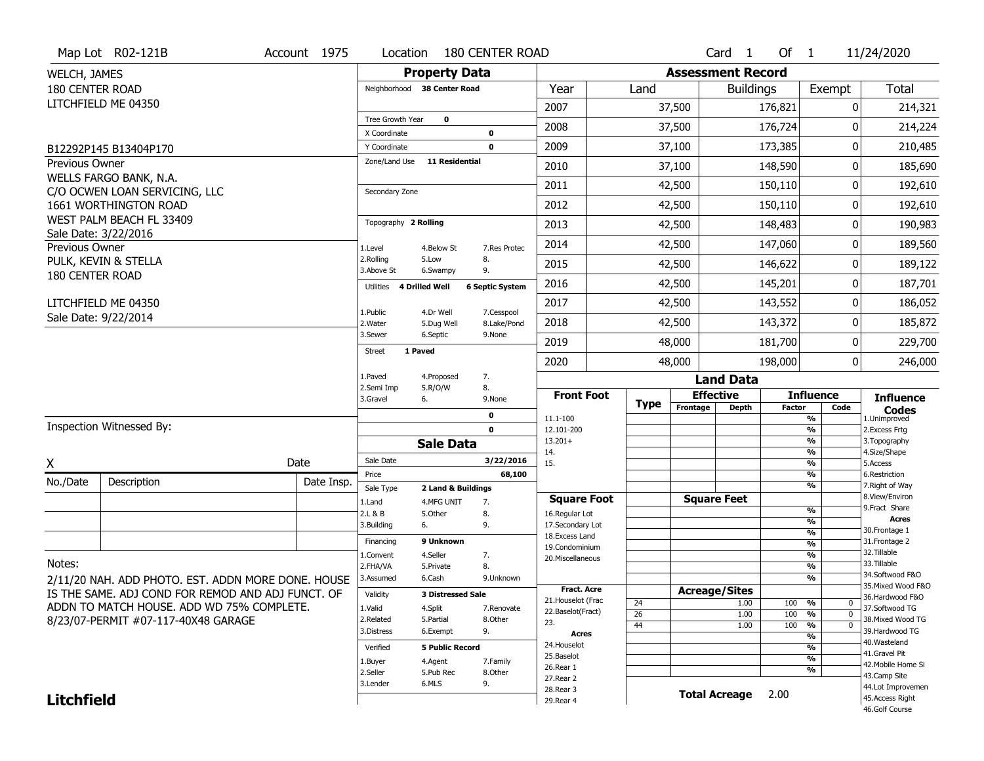|                        | Map Lot R02-121B                                   | Account 1975 | Location                 |                                  | <b>180 CENTER ROAD</b> |                                         |      |                          | Card <sub>1</sub> | Of $1$        |                                  | 11/24/2020                            |
|------------------------|----------------------------------------------------|--------------|--------------------------|----------------------------------|------------------------|-----------------------------------------|------|--------------------------|-------------------|---------------|----------------------------------|---------------------------------------|
| WELCH, JAMES           |                                                    |              |                          | <b>Property Data</b>             |                        |                                         |      | <b>Assessment Record</b> |                   |               |                                  |                                       |
| <b>180 CENTER ROAD</b> |                                                    |              |                          | Neighborhood 38 Center Road      |                        | Year                                    | Land |                          | <b>Buildings</b>  |               | Exempt                           | Total                                 |
|                        | LITCHFIELD ME 04350                                |              |                          |                                  |                        | 2007                                    |      | 37,500                   |                   | 176,821       | 0                                | 214,321                               |
|                        |                                                    |              | Tree Growth Year         | $\mathbf 0$                      |                        | 2008                                    |      | 37,500                   |                   | 176,724       | 0                                | 214,224                               |
|                        |                                                    |              | X Coordinate             |                                  | 0                      |                                         |      |                          |                   |               |                                  |                                       |
|                        | B12292P145 B13404P170                              |              | Y Coordinate             |                                  | 0                      | 2009                                    |      | 37,100                   |                   | 173,385       | 0                                | 210,485                               |
| Previous Owner         | WELLS FARGO BANK, N.A.                             |              | Zone/Land Use            | 11 Residential                   |                        | 2010                                    |      | 37,100                   |                   | 148,590       | 0                                | 185,690                               |
|                        | C/O OCWEN LOAN SERVICING, LLC                      |              | Secondary Zone           |                                  |                        | 2011                                    |      | 42,500                   |                   | 150,110       | 0                                | 192,610                               |
|                        | 1661 WORTHINGTON ROAD                              |              |                          |                                  |                        | 2012                                    |      | 42,500                   |                   | 150,110       | 0                                | 192,610                               |
|                        | WEST PALM BEACH FL 33409                           |              | Topography 2 Rolling     |                                  |                        | 2013                                    |      | 42,500                   |                   | 148,483       | 0                                | 190,983                               |
| Previous Owner         | Sale Date: 3/22/2016                               |              | 1.Level                  | 4.Below St                       | 7.Res Protec           | 2014                                    |      | 42,500                   |                   | 147,060       | 0                                | 189,560                               |
|                        | PULK, KEVIN & STELLA                               |              | 2.Rolling                | 5.Low                            | 8.                     | 2015                                    |      | 42,500                   |                   | 146,622       | 0                                | 189,122                               |
| 180 CENTER ROAD        |                                                    |              | 3.Above St               | 6.Swampy                         | 9.                     |                                         |      |                          |                   |               |                                  |                                       |
|                        |                                                    |              | Utilities 4 Drilled Well |                                  | <b>6 Septic System</b> | 2016                                    |      | 42,500                   |                   | 145,201       | 0                                | 187,701                               |
|                        | LITCHFIELD ME 04350                                |              | 1.Public                 | 4.Dr Well                        | 7.Cesspool             | 2017                                    |      | 42,500                   |                   | 143,552       | 0                                | 186,052                               |
|                        | Sale Date: 9/22/2014                               |              | 2. Water<br>3.Sewer      | 5.Dug Well                       | 8.Lake/Pond<br>9.None  | 2018                                    |      | 42,500                   |                   | 143,372       | 0                                | 185,872                               |
|                        |                                                    |              | <b>Street</b>            | 6.Septic<br>1 Paved              |                        | 2019                                    |      | 48,000                   |                   | 181,700       | 0                                | 229,700                               |
|                        |                                                    |              |                          |                                  |                        | 2020                                    |      | 48,000                   |                   | 198,000       | $\mathbf{0}$                     | 246,000                               |
|                        |                                                    |              | 1.Paved                  | 4.Proposed                       | 7.                     |                                         |      |                          | <b>Land Data</b>  |               |                                  |                                       |
|                        |                                                    |              | 2.Semi Imp<br>3.Gravel   | 5.R/O/W<br>6.                    | 8.<br>9.None           | <b>Front Foot</b>                       |      | <b>Effective</b>         |                   |               | <b>Influence</b>                 | <b>Influence</b>                      |
|                        |                                                    |              |                          |                                  | 0                      | 11.1-100                                | Type | Frontage                 | <b>Depth</b>      | <b>Factor</b> | Code<br>$\overline{\frac{9}{6}}$ | <b>Codes</b><br>1.Unimproved          |
|                        | Inspection Witnessed By:                           |              |                          |                                  | 0                      | 12.101-200                              |      |                          |                   |               | $\frac{9}{6}$                    | 2.Excess Frtg                         |
|                        |                                                    |              |                          | <b>Sale Data</b>                 |                        | $13.201+$<br>14.                        |      |                          |                   |               | $\frac{9}{6}$<br>%               | 3. Topography<br>4.Size/Shape         |
| X                      |                                                    | Date         | Sale Date                |                                  | 3/22/2016              | 15.                                     |      |                          |                   |               | $\frac{9}{6}$                    | 5.Access                              |
| No./Date               | Description                                        | Date Insp.   | Price                    |                                  | 68,100                 |                                         |      |                          |                   |               | %<br>%                           | 6.Restriction<br>7. Right of Way      |
|                        |                                                    |              | Sale Type<br>1.Land      | 2 Land & Buildings<br>4.MFG UNIT | 7.                     | <b>Square Foot</b>                      |      | <b>Square Feet</b>       |                   |               |                                  | 8.View/Environ                        |
|                        |                                                    |              | 2.L & B                  | 5.Other                          | 8.                     | 16.Regular Lot                          |      |                          |                   |               | %                                | 9.Fract Share                         |
|                        |                                                    |              | 3.Building               | 6.                               | 9.                     | 17.Secondary Lot                        |      |                          |                   |               | %<br>%                           | <b>Acres</b><br>30. Frontage 1        |
|                        |                                                    |              | Financing                | 9 Unknown                        |                        | 18. Excess Land<br>19.Condominium       |      |                          |                   |               | %                                | 31. Frontage 2                        |
|                        |                                                    |              | 1.Convent                | 4.Seller                         | 7.                     | 20.Miscellaneous                        |      |                          |                   |               | %                                | 32. Tillable                          |
| Notes:                 |                                                    |              | 2.FHA/VA                 | 5.Private                        | 8.                     |                                         |      |                          |                   |               | %                                | 33.Tillable                           |
|                        | 2/11/20 NAH. ADD PHOTO. EST. ADDN MORE DONE. HOUSE |              | 3.Assumed                | 6.Cash                           | 9.Unknown              |                                         |      |                          |                   |               | %                                | 34.Softwood F&O<br>35. Mixed Wood F&O |
|                        | IS THE SAME. ADJ COND FOR REMOD AND ADJ FUNCT. OF  |              | Validity                 | <b>3 Distressed Sale</b>         |                        | <b>Fract. Acre</b>                      |      | <b>Acreage/Sites</b>     |                   |               |                                  | 36.Hardwood F&O                       |
|                        | ADDN TO MATCH HOUSE. ADD WD 75% COMPLETE.          |              | 1.Valid                  | 4.Split                          | 7.Renovate             | 21. Houselot (Frac<br>22.Baselot(Fract) | 24   |                          | 1.00              | 100           | %<br>0<br>$\mathbf 0$            | 37.Softwood TG                        |
|                        |                                                    |              |                          | 5.Partial                        | 8.Other                |                                         | 26   |                          | 1.00              | 100           | $\frac{9}{6}$                    | 38. Mixed Wood TG                     |
|                        | 8/23/07-PERMIT #07-117-40X48 GARAGE                |              | 2.Related                |                                  |                        | 23.                                     |      |                          |                   |               |                                  |                                       |
|                        |                                                    |              | 3.Distress               | 6.Exempt                         | 9.                     | <b>Acres</b>                            | 44   |                          | 1.00              | 100           | $\frac{9}{6}$<br>$\mathbf 0$     | 39.Hardwood TG                        |
|                        |                                                    |              | Verified                 | <b>5 Public Record</b>           |                        | 24. Houselot                            |      |                          |                   |               | %<br>%                           | 40.Wasteland                          |
|                        |                                                    |              |                          |                                  | 7.Family               | 25.Baselot                              |      |                          |                   |               | %                                | 41.Gravel Pit                         |
|                        |                                                    |              | 1.Buyer<br>2.Seller      | 4.Agent<br>5.Pub Rec             | 8.Other                | 26.Rear 1                               |      |                          |                   |               | %                                | 42. Mobile Home Si                    |
|                        |                                                    |              | 3.Lender                 | 6.MLS                            | 9.                     | 27. Rear 2                              |      |                          |                   |               |                                  | 43.Camp Site<br>44.Lot Improvemen     |
| <b>Litchfield</b>      |                                                    |              |                          |                                  |                        | 28. Rear 3<br>29. Rear 4                |      | <b>Total Acreage</b>     |                   | 2.00          |                                  | 45.Access Right<br>46.Golf Course     |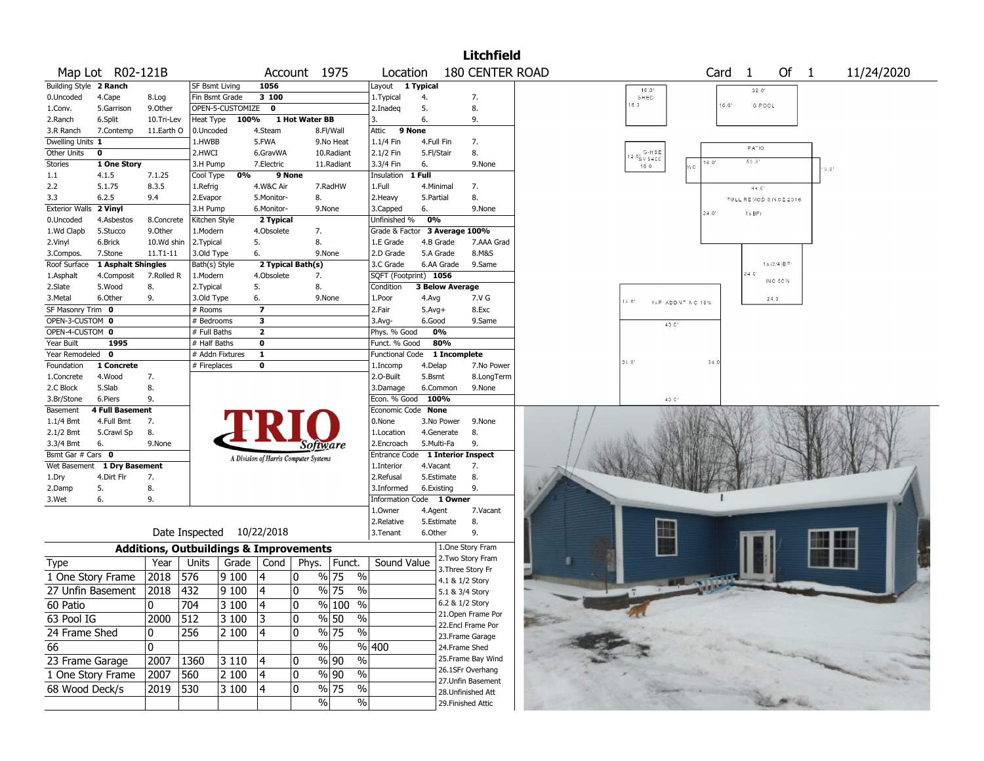|                        |                                   |            |                       |                    |                         |                                                   |                          |                        | <b>Litchfield</b>                       |                                                |
|------------------------|-----------------------------------|------------|-----------------------|--------------------|-------------------------|---------------------------------------------------|--------------------------|------------------------|-----------------------------------------|------------------------------------------------|
|                        | Map Lot R02-121B                  |            |                       |                    |                         | Account 1975                                      | Location                 |                        | 180 CENTER ROAD                         | Of<br>Card<br>11/24/2020<br>-1<br>$\mathbf{1}$ |
| Building Style 2 Ranch |                                   |            | <b>SF Bsmt Living</b> |                    | 1056                    |                                                   | Layout 1 Typical         |                        |                                         | 16.0<br>32.0                                   |
| 0.Uncoded              | 4.Cape                            | 8.Log      |                       | Fin Bsmt Grade     | 3 100                   |                                                   | 1. Typical               | 4.                     | 7.                                      | SHED                                           |
| 1.Conv.                | 5.Garrison                        | 9.Other    |                       | OPEN-5-CUSTOMIZE 0 |                         |                                                   | 2.Inadeg                 | 5.                     | 8.                                      | <b>B.D</b><br>16.0'<br>G POOL                  |
| 2.Ranch                | 6.Split                           | 10.Tri-Lev | Heat Type             | 100%               |                         | 1 Hot Water BB                                    | 3.                       | 6.                     | 9.                                      |                                                |
| 3.R Ranch              | 7.Contemp                         | 11.Earth O | 0.Uncoded             |                    | 4.Steam                 | 8.Fl/Wall                                         | Attic                    | 9 None                 |                                         |                                                |
| Dwelling Units 1       |                                   |            | 1.HWBB                |                    | 5.FWA                   | 9.No Heat                                         | 1.1/4 Fin                | 4.Full Fin             | 7.                                      | PA <sup>-10</sup>                              |
| Other Units            | 0                                 |            | 2.HWCI                |                    | 6.GravWA                | 10.Radiant                                        | 2.1/2 Fin                | 5.Fl/Stair             | 8.                                      | $12.0^{+}_{S\,V\,S400}$<br>63.01               |
| Stories                | 1 One Story                       |            | 3.H Pump              |                    | 7.Electric              | 11.Radiant                                        | 3.3/4 Fin                | 6.                     | 9.None                                  | 16.0'<br>160<br>έÈ.<br>$0.01$                  |
| 1.1                    | 4.1.5                             | 7.1.25     | Cool Type             | 0%                 |                         | 9 None                                            | Insulation               | 1 Full                 |                                         |                                                |
| 2.2                    | 5.1.75                            | 8.3.5      | 1.Refrig              |                    | 4.W&C Air               | 7.RadHW                                           | 1.Full                   | 4.Minimal              | 7.                                      | 44.0'                                          |
| 3.3                    | 6.2.5                             | 9.4        | 2.Evapor              |                    | 5.Monitor-              | 8.                                                | 2.Heavy                  | 5.Partial              | 8.                                      | FULL REMOD SINCE 2016                          |
| <b>Exterior Walls</b>  | 2 Vinyl                           |            | 3.H Pump              |                    | 6.Monitor-              | 9.None                                            | 3.Capped                 | 6.                     | 9.None                                  | 24.0'<br>1s BFr                                |
| 0.Uncoded              | 4.Asbestos                        | 8.Concrete | Kitchen Style         |                    | 2 Typical               |                                                   | Unfinished %             | 0%                     |                                         |                                                |
| 1.Wd Clapb             | 5.Stucco                          | 9.Other    | 1.Modern              |                    | 4.Obsolete              | 7.                                                | Grade & Factor           |                        | 3 Average 100%                          |                                                |
| 2.Vinyl                | 6.Brick                           | 10.Wd shin | 2.Typical             |                    | 5.                      | 8.                                                | 1.E Grade                | 4.B Grade              | 7.AAA Grad                              |                                                |
| 3.Compos.              | 7.Stone                           | 11.T1-11   | 3.Old Type            |                    | 6.                      | 9.None                                            | 2.D Grade                | 5.A Grade              | 8.M&S                                   |                                                |
| Roof Surface           | 1 Asphalt Shingles                |            | Bath(s) Style         |                    |                         | 2 Typical Bath(s)                                 | 3.C Grade                | 6.AA Grade             | 9.Same                                  | 1s (3/4) $B =$<br>24C                          |
| 1.Asphalt              | 4.Composit                        | 7.Rolled R | 1.Modern              |                    | 4.Obsolete              | 7.                                                |                          | SQFT (Footprint) 1056  |                                         | INC 50%                                        |
| 2.Slate                | 5.Wood                            | 8.         | 2.Typical             |                    | 5.                      | 8.                                                | Condition                | <b>3 Below Average</b> |                                         |                                                |
| 3.Metal                | 6.Other                           | 9.         | 3.Old Type            |                    | 6.                      | 9.None                                            | 1.Poor                   | 4.Avg                  | 7.V G                                   | 24.3<br>14.0'<br>1s F: ADDNT NC 10%            |
| SF Masonry Trim 0      |                                   |            | # Rooms               |                    | $\overline{\mathbf{z}}$ |                                                   | 2.Fair                   | $5.Avg+$               | 8.Exc                                   |                                                |
| OPEN-3-CUSTOM 0        |                                   |            | # Bedrooms            |                    | 3                       |                                                   | $3.$ Avg-                | 6.Good                 | 9.Same                                  | 40 C <sup>*</sup>                              |
| OPEN-4-CUSTOM 0        |                                   |            | # Full Baths          |                    | $\overline{\mathbf{2}}$ |                                                   | Phys. % Good             | 0%                     |                                         |                                                |
| Year Built             | 1995                              |            | # Half Baths          |                    | $\bf o$                 |                                                   | Funct. % Good            | 80%                    |                                         |                                                |
| Year Remodeled 0       |                                   |            |                       | # Addn Fixtures    | $\mathbf{1}$            |                                                   | <b>Functional Code</b>   |                        | 1 Incomplete                            | 34.0<br>34.                                    |
| Foundation             | 1 Concrete                        |            | # Fireplaces          |                    | $\bf o$                 |                                                   | 1.Incomp                 | 4.Delap                | 7.No Power                              |                                                |
| 1.Concrete             | 4.Wood<br>5.Slab                  | 7.         |                       |                    |                         |                                                   | 2.O-Built                | 5.Bsmt                 | 8.LongTerm                              |                                                |
| 2.C Block              |                                   | 8.<br>9.   |                       |                    |                         |                                                   | 3.Damage<br>Econ. % Good | 6.Common<br>100%       | 9.None                                  | 40 C <sup>*</sup>                              |
| 3.Br/Stone<br>Basement | 6.Piers<br><b>4 Full Basement</b> |            |                       |                    |                         |                                                   | Economic Code None       |                        |                                         |                                                |
| $1.1/4$ Bmt            | 4.Full Bmt                        | 7.         |                       |                    |                         |                                                   | 0.None                   | 3.No Power             | 9.None                                  |                                                |
| 2.1/2 Bmt              | 5.Crawl Sp                        | 8.         |                       |                    |                         |                                                   | 1.Location               | 4.Generate             | 8.                                      |                                                |
| 3.3/4 Bmt              | 6.                                | 9.None     |                       |                    |                         |                                                   | 2.Encroach               | 5.Multi-Fa             | 9.                                      |                                                |
| Bsmt Gar # Cars 0      |                                   |            |                       |                    |                         | Software                                          | Entrance Code            |                        | <b>1 Interior Inspect</b>               |                                                |
|                        | Wet Basement 1 Dry Basement       |            |                       |                    |                         | A Division of Harris Computer Systems             | 1.Interior               | 4.Vacant               | 7.                                      |                                                |
| 1.Dry                  | 4.Dirt Flr                        | 7.         |                       |                    |                         |                                                   | 2.Refusal                | 5.Estimate             | 8.                                      |                                                |
| 2.Damp                 | 5.                                | 8.         |                       |                    |                         |                                                   | 3.Informed               | 6.Existing             | 9.                                      |                                                |
| 3.Wet                  | 6.                                | 9.         |                       |                    |                         |                                                   | Information              | Code<br>1 Owner        |                                         |                                                |
|                        |                                   |            |                       |                    |                         |                                                   | 1.0wner                  | 4.Agent                | 7.Vacant                                |                                                |
|                        |                                   |            |                       |                    |                         |                                                   | 2.Relative               | 5.Estimate             | 8.                                      |                                                |
|                        |                                   |            | Date Inspected        |                    | 10/22/2018              |                                                   | 3. Tenant                | 6.Other                | 9.                                      |                                                |
|                        |                                   |            |                       |                    |                         | <b>Additions, Outbuildings &amp; Improvements</b> |                          |                        | 1.One Story Fram                        |                                                |
| Type                   |                                   | Year       | Units                 | Grade              | Cond                    | Phys.<br>Funct.                                   | Sound Value              |                        | 2.Two Story Fram                        |                                                |
| 1 One Story Frame      |                                   | 2018       | 576                   | 9 100              |                         | % 75<br>0                                         | $\%$                     |                        | 3. Three Story Fr                       |                                                |
| 27 Unfin Basement      |                                   | 2018       | 432                   | 9 100              | 4                       | % 75<br>0                                         | $\frac{0}{0}$            |                        | 4.1 & 1/2 Story                         |                                                |
|                        |                                   |            |                       |                    |                         |                                                   |                          |                        | 5.1 & 3/4 Story<br>6.2 & 1/2 Story      |                                                |
| 60 Patio               |                                   | 0          | 704                   | $ 3100\rangle$     | $\overline{14}$         | $\frac{9}{6}$ 100 %<br>0                          |                          |                        | 21.Open Frame Por                       |                                                |
| 63 Pool IG             |                                   | 2000       | $\sqrt{512}$          | 3 100              | 3                       | 10<br>% 50                                        | $\sqrt{6}$               |                        | 22.Encl Frame Por                       |                                                |
| 24 Frame Shed          |                                   | 0          | 256                   | 2 100              | 4                       | $\sqrt{96}$ 75<br>0                               | $\frac{0}{6}$            |                        | 23.Frame Garage                         |                                                |
| 66                     |                                   | 0          |                       |                    |                         | $\frac{1}{2}$                                     | %  400                   |                        | 24.Frame Shed                           |                                                |
| 23 Frame Garage        |                                   | 2007       | 1360                  | $3110$             | 4                       | % 90<br>0                                         | %                        |                        | 25. Frame Bay Wind                      |                                                |
| 1 One Story Frame      |                                   | 2007       | 560                   | 2 100              | 4                       | $\%$ 90<br>10                                     | $\sqrt{6}$               |                        | 26.1SFr Overhang                        |                                                |
| 68 Wood Deck/s         |                                   | 2019       | 530                   | 3 100              | 4                       | $\frac{9}{6}$ 75<br>0                             | %                        |                        | 27.Unfin Basement<br>28. Unfinished Att |                                                |
|                        |                                   |            |                       |                    |                         | $\frac{1}{2}$                                     | $\%$                     |                        | 29. Finished Attic                      |                                                |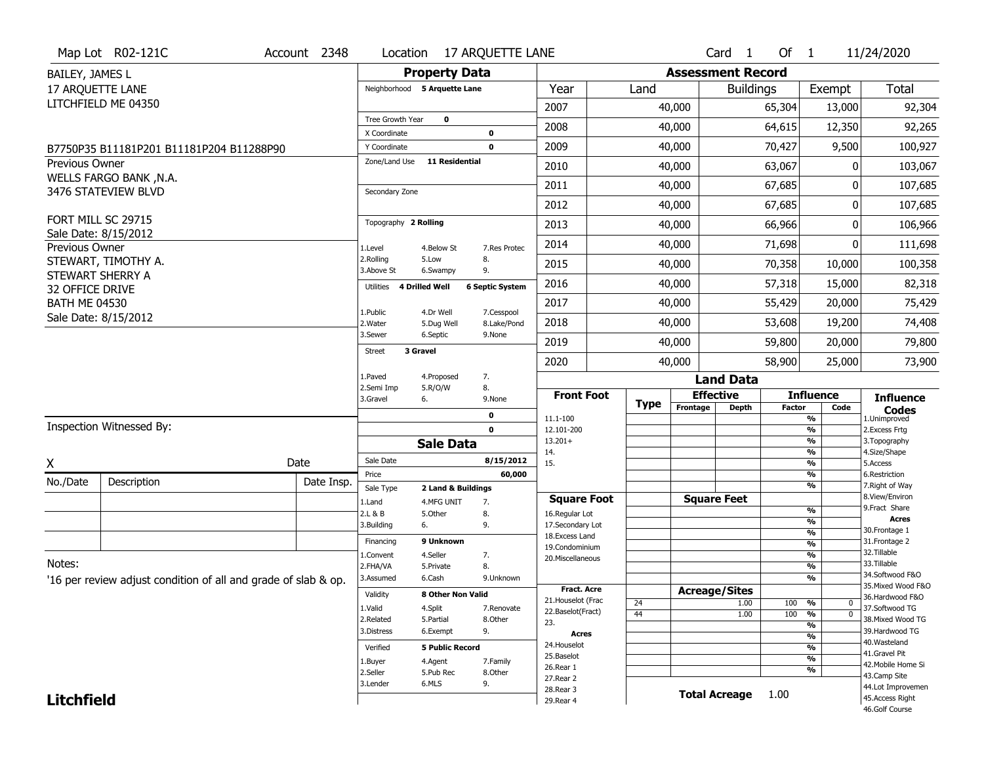|                                         | Map Lot R02-121C                                               | Account 2348 | Location                      |                              | <b>17 ARQUETTE LANE</b>      |                                          |             |                          | Card <sub>1</sub>    | Of $1$        |                                         | 11/24/2020                            |
|-----------------------------------------|----------------------------------------------------------------|--------------|-------------------------------|------------------------------|------------------------------|------------------------------------------|-------------|--------------------------|----------------------|---------------|-----------------------------------------|---------------------------------------|
| BAILEY, JAMES L                         |                                                                |              |                               | <b>Property Data</b>         |                              |                                          |             | <b>Assessment Record</b> |                      |               |                                         |                                       |
| 17 ARQUETTE LANE                        |                                                                |              |                               | Neighborhood 5 Arquette Lane |                              | Year                                     | Land        |                          | <b>Buildings</b>     |               | Exempt                                  | <b>Total</b>                          |
|                                         | LITCHFIELD ME 04350                                            |              |                               |                              |                              | 2007                                     |             | 40,000                   |                      | 65,304        | 13,000                                  | 92,304                                |
|                                         |                                                                |              | Tree Growth Year              | $\mathbf 0$                  |                              | 2008                                     |             | 40,000                   |                      | 64,615        | 12,350                                  | 92,265                                |
|                                         |                                                                |              | X Coordinate                  |                              | $\pmb{0}$                    |                                          |             |                          |                      |               |                                         |                                       |
|                                         | B7750P35 B11181P201 B11181P204 B11288P90                       |              | Y Coordinate<br>Zone/Land Use | <b>11 Residential</b>        | $\mathbf 0$                  | 2009                                     |             | 40,000                   |                      | 70,427        | 9,500                                   | 100,927                               |
| Previous Owner                          | <b>WELLS FARGO BANK, N.A.</b>                                  |              |                               |                              |                              | 2010                                     |             | 40,000                   |                      | 63,067        | ŋ                                       | 103,067                               |
|                                         | 3476 STATEVIEW BLVD                                            |              | Secondary Zone                |                              |                              | 2011                                     |             | 40,000                   |                      | 67,685        | O                                       | 107,685                               |
|                                         |                                                                |              |                               |                              |                              | 2012                                     |             | 40,000                   |                      | 67,685        | 0                                       | 107,685                               |
|                                         | FORT MILL SC 29715                                             |              | Topography 2 Rolling          |                              |                              | 2013                                     |             | 40,000                   |                      | 66,966        | 0                                       | 106,966                               |
| Previous Owner                          | Sale Date: 8/15/2012                                           |              | 1.Level                       | 4.Below St                   | 7.Res Protec                 | 2014                                     |             | 40,000                   |                      | 71,698        | ŋ                                       | 111,698                               |
|                                         | STEWART, TIMOTHY A.                                            |              | 2.Rolling                     | 5.Low                        | 8.                           | 2015                                     |             | 40,000                   |                      | 70,358        | 10,000                                  | 100,358                               |
|                                         | STEWART SHERRY A                                               |              | 3.Above St<br>Utilities       | 6.Swampy<br>4 Drilled Well   | 9.<br><b>6 Septic System</b> | 2016                                     |             | 40,000                   |                      | 57,318        | 15,000                                  | 82,318                                |
| 32 OFFICE DRIVE<br><b>BATH ME 04530</b> |                                                                |              |                               |                              |                              | 2017                                     |             | 40,000                   |                      | 55,429        | 20,000                                  | 75,429                                |
|                                         | Sale Date: 8/15/2012                                           |              | 1.Public<br>2. Water          | 4.Dr Well<br>5.Dug Well      | 7.Cesspool<br>8.Lake/Pond    | 2018                                     |             | 40,000                   |                      | 53,608        | 19,200                                  | 74,408                                |
|                                         |                                                                |              | 3.Sewer                       | 6.Septic                     | 9.None                       | 2019                                     |             | 40,000                   |                      | 59,800        | 20,000                                  | 79,800                                |
|                                         |                                                                |              | <b>Street</b>                 | 3 Gravel                     |                              | 2020                                     |             | 40,000                   |                      | 58,900        | 25,000                                  | 73,900                                |
|                                         |                                                                |              | 1.Paved                       | 4.Proposed                   | 7.                           |                                          |             |                          | <b>Land Data</b>     |               |                                         |                                       |
|                                         |                                                                |              |                               |                              |                              |                                          |             |                          |                      |               |                                         |                                       |
|                                         |                                                                |              | 2.Semi Imp                    | 5.R/O/W                      | 8.                           | <b>Front Foot</b>                        |             |                          | <b>Effective</b>     |               | <b>Influence</b>                        |                                       |
|                                         |                                                                |              | 3.Gravel                      | 6.                           | 9.None                       |                                          | <b>Type</b> | Frontage                 | <b>Depth</b>         | <b>Factor</b> | Code                                    | <b>Influence</b><br><b>Codes</b>      |
|                                         | Inspection Witnessed By:                                       |              |                               |                              | $\pmb{0}$<br>$\mathbf 0$     | 11.1-100<br>12.101-200                   |             |                          |                      |               | %<br>%                                  | 1.Unimproved<br>2. Excess Frtg        |
|                                         |                                                                |              |                               | <b>Sale Data</b>             |                              | $13.201+$                                |             |                          |                      |               | %                                       | 3. Topography                         |
|                                         |                                                                |              | Sale Date                     |                              | 8/15/2012                    | 14.<br>15.                               |             |                          |                      |               | %<br>%                                  | 4.Size/Shape<br>5.Access              |
| Χ                                       |                                                                | Date         | Price                         |                              | 60,000                       |                                          |             |                          |                      |               | %                                       | 6.Restriction                         |
| No./Date                                | Description                                                    | Date Insp.   | Sale Type                     | 2 Land & Buildings           |                              |                                          |             |                          |                      |               | %                                       | 7. Right of Way<br>8.View/Environ     |
|                                         |                                                                |              | 1.Land                        | 4.MFG UNIT<br>5.Other        | 7.                           | <b>Square Foot</b>                       |             |                          | <b>Square Feet</b>   |               | %                                       | 9. Fract Share                        |
|                                         |                                                                |              | 2.L & B<br>3.Building         | 6.                           | 8.<br>9.                     | 16.Regular Lot<br>17.Secondary Lot       |             |                          |                      |               | %                                       | <b>Acres</b>                          |
|                                         |                                                                |              | Financing                     | 9 Unknown                    |                              | 18.Excess Land                           |             |                          |                      |               | $\frac{9}{6}$                           | 30. Frontage 1<br>31. Frontage 2      |
|                                         |                                                                |              | 1.Convent                     | 4.Seller                     | 7.                           | 19.Condominium<br>20.Miscellaneous       |             |                          |                      |               | $\frac{9}{6}$<br>$\frac{9}{6}$          | 32. Tillable                          |
| Notes:                                  |                                                                |              | 2.FHA/VA                      | 5.Private                    | 8.                           |                                          |             |                          |                      |               | $\overline{\frac{9}{6}}$                | 33.Tillable                           |
|                                         | '16 per review adjust condition of all and grade of slab & op. |              | 3.Assumed                     | 6.Cash                       | 9.Unknown                    |                                          |             |                          |                      |               | %                                       | 34.Softwood F&O<br>35. Mixed Wood F&O |
|                                         |                                                                |              | Validity                      | 8 Other Non Valid            |                              | <b>Fract. Acre</b><br>21. Houselot (Frac |             |                          | <b>Acreage/Sites</b> |               |                                         | 36.Hardwood F&O                       |
|                                         |                                                                |              | 1.Valid                       | 4.Split                      | 7.Renovate                   | 22.Baselot(Fract)                        | 24<br>44    |                          | 1.00<br>1.00         | 100<br>100    | %<br>$\mathbf 0$<br>$\overline{0}$<br>% | 37.Softwood TG                        |
|                                         |                                                                |              | 2.Related                     | 5.Partial                    | 8.Other                      | 23.                                      |             |                          |                      |               | %                                       | 38. Mixed Wood TG                     |
|                                         |                                                                |              | 3.Distress                    | 6.Exempt                     | 9.                           | <b>Acres</b>                             |             |                          |                      |               | %                                       | 39.Hardwood TG<br>40. Wasteland       |
|                                         |                                                                |              | Verified                      | <b>5 Public Record</b>       |                              | 24. Houselot<br>25.Baselot               |             |                          |                      |               | %                                       | 41.Gravel Pit                         |
|                                         |                                                                |              | 1.Buyer                       | 4.Agent                      | 7.Family                     | 26.Rear 1                                |             |                          |                      |               | %                                       | 42. Mobile Home Si                    |
|                                         |                                                                |              | 2.Seller                      | 5.Pub Rec                    | 8.Other                      | 27.Rear 2                                |             |                          |                      |               | %                                       | 43.Camp Site                          |
| <b>Litchfield</b>                       |                                                                |              | 3.Lender                      | 6.MLS                        | 9.                           | 28. Rear 3<br>29. Rear 4                 |             |                          | <b>Total Acreage</b> | 1.00          |                                         | 44.Lot Improvemen<br>45.Access Right  |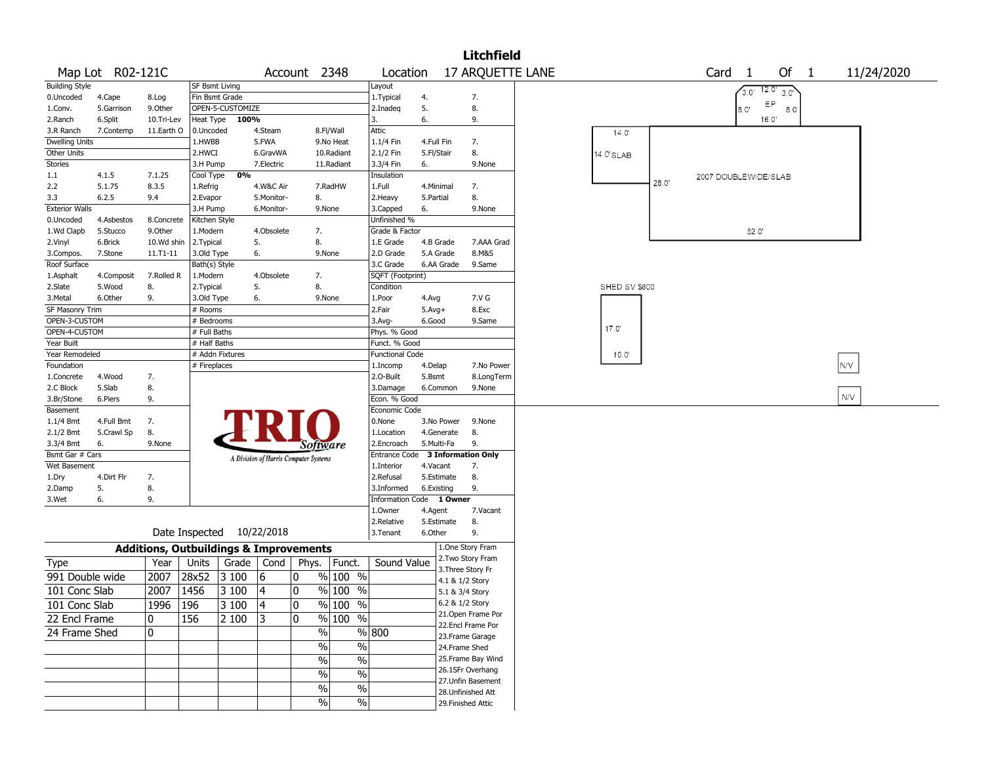|                        |                  |            |                                                   |                                       |   |                    |                          |            |                           | <b>Litchfield</b>  |                  |                      |       |                      |               |              |               |            |  |
|------------------------|------------------|------------|---------------------------------------------------|---------------------------------------|---|--------------------|--------------------------|------------|---------------------------|--------------------|------------------|----------------------|-------|----------------------|---------------|--------------|---------------|------------|--|
|                        | Map Lot R02-121C |            |                                                   |                                       |   | Account 2348       | Location                 |            |                           |                    | 17 ARQUETTE LANE |                      |       | Card <sub>1</sub>    |               |              | Of $1$        | 11/24/2020 |  |
| <b>Building Style</b>  |                  |            | <b>SF Bsmt Living</b>                             |                                       |   |                    | Layout                   |            |                           |                    |                  |                      |       |                      | $3.0^{\circ}$ | 12.0<br>3.0' |               |            |  |
| 0.Uncoded              | 4.Cape           | 8.Log      | Fin Bsmt Grade                                    |                                       |   |                    | 1. Typical               | 4.         |                           | 7.                 |                  |                      |       |                      |               | EP           |               |            |  |
| 1.Conv.                | 5.Garrison       | 9.Other    | OPEN-5-CUSTOMIZE                                  |                                       |   |                    | 2.Inadeq                 | 5.         |                           | 8.                 |                  |                      |       |                      | 8.0"          |              | $8.0^{\circ}$ |            |  |
| 2.Ranch                | 6.Split          | 10.Tri-Lev | Heat Type                                         | 100%                                  |   |                    | 3.                       | 6.         |                           | 9.                 |                  |                      |       |                      |               | 16.0'        |               |            |  |
| 3.R Ranch              | 7.Contemp        | 11.Earth O | 0.Uncoded                                         | 4.Steam                               |   | 8.Fl/Wall          | Attic                    |            |                           |                    |                  | 14.0'                |       |                      |               |              |               |            |  |
| <b>Dwelling Units</b>  |                  |            | 1.HWBB                                            | 5.FWA                                 |   | 9.No Heat          | 1.1/4 Fin                | 4.Full Fin |                           | 7.                 |                  |                      |       |                      |               |              |               |            |  |
| Other Units            |                  |            | 2.HWCI                                            | 6.GravWA                              |   | 10.Radiant         | 2.1/2 Fin                | 5.Fl/Stair |                           | 8.                 |                  | 14.0'SLAB            |       |                      |               |              |               |            |  |
| Stories                |                  |            | 3.H Pump                                          | 7.Electric                            |   | 11.Radiant         | 3.3/4 Fin                | 6.         |                           | 9.None             |                  |                      |       |                      |               |              |               |            |  |
| 1.1                    | 4.1.5            | 7.1.25     | Cool Type                                         | 0%                                    |   |                    | Insulation               |            |                           |                    |                  |                      |       | 2007 DOUBLEWIDE/SLAB |               |              |               |            |  |
| 2.2                    | 5.1.75           | 8.3.5      | 1.Refrig                                          | 4.W&C Air                             |   | 7.RadHW            | 1.Full                   | 4.Minimal  |                           | 7.                 |                  |                      | 28.0' |                      |               |              |               |            |  |
| 3.3                    | 6.2.5            | 9.4        | 2.Evapor                                          | 5.Monitor-                            |   | 8.                 | 2. Heavy                 | 5.Partial  |                           | 8.                 |                  |                      |       |                      |               |              |               |            |  |
| <b>Exterior Walls</b>  |                  |            | 3.H Pump                                          | 6.Monitor-                            |   | 9.None             | 3.Capped                 | 6.         |                           | 9.None             |                  |                      |       |                      |               |              |               |            |  |
| 0.Uncoded              | 4.Asbestos       | 8.Concrete | Kitchen Style                                     |                                       |   |                    | Unfinished %             |            |                           |                    |                  |                      |       |                      |               |              |               |            |  |
| 1.Wd Clapb             | 5.Stucco         | 9.Other    | 1.Modern                                          | 4.Obsolete                            |   | 7.                 | Grade & Factor           |            |                           |                    |                  |                      |       |                      | 52.0'         |              |               |            |  |
| 2.Vinyl                | 6.Brick          | 10.Wd shin | 2.Typical                                         | 5.                                    |   | 8.                 | 1.E Grade                | 4.B Grade  |                           | 7.AAA Grad         |                  |                      |       |                      |               |              |               |            |  |
| 3.Compos.              | 7.Stone          | 11.T1-11   | 3.Old Type                                        | 6.                                    |   | 9.None             | 2.D Grade                | 5.A Grade  |                           | 8.M&S              |                  |                      |       |                      |               |              |               |            |  |
| Roof Surface           |                  |            | Bath(s) Style                                     |                                       |   |                    | 3.C Grade                | 6.AA Grade |                           | 9.Same             |                  |                      |       |                      |               |              |               |            |  |
| 1.Asphalt              | 4.Composit       | 7.Rolled R | 1.Modern                                          | 4.Obsolete                            |   | 7.                 | SQFT (Footprint)         |            |                           |                    |                  |                      |       |                      |               |              |               |            |  |
| 2.Slate                | 5.Wood           | 8.         | 2. Typical                                        | 5.                                    |   | 8.                 | Condition                |            |                           |                    |                  | <b>SHED SV \$800</b> |       |                      |               |              |               |            |  |
| 3. Metal               | 6.Other          | 9.         | 3.Old Type                                        | 6.                                    |   | 9.None             | 1.Poor                   | 4.Avg      |                           | 7.V G              |                  |                      |       |                      |               |              |               |            |  |
| <b>SF Masonry Trim</b> |                  |            | # Rooms                                           |                                       |   |                    | 2.Fair                   | $5.Avg+$   |                           | 8.Exc              |                  |                      |       |                      |               |              |               |            |  |
| OPEN-3-CUSTOM          |                  |            | # Bedrooms                                        |                                       |   |                    | 3.Avg-                   | 6.Good     |                           | 9.Same             |                  |                      |       |                      |               |              |               |            |  |
| OPEN-4-CUSTOM          |                  |            | $#$ Full Baths                                    |                                       |   |                    | Phys. % Good             |            |                           |                    |                  | 17.0'                |       |                      |               |              |               |            |  |
| Year Built             |                  |            | # Half Baths                                      |                                       |   |                    | Funct. % Good            |            |                           |                    |                  |                      |       |                      |               |              |               |            |  |
| Year Remodeled         |                  |            | # Addn Fixtures                                   |                                       |   |                    | <b>Functional Code</b>   |            |                           |                    |                  | $10.0^{\circ}$       |       |                      |               |              |               |            |  |
| Foundation             |                  |            | # Fireplaces                                      |                                       |   |                    | 1.Incomp                 | 4.Delap    |                           | 7.No Power         |                  |                      |       |                      |               |              |               | N/V        |  |
| 1.Concrete             | 4.Wood           | 7.         |                                                   |                                       |   |                    | 2.0-Built                | 5.Bsmt     |                           | 8.LongTerm         |                  |                      |       |                      |               |              |               |            |  |
| 2.C Block              | 5.Slab           | 8.         |                                                   |                                       |   |                    | 3.Damage                 | 6.Common   |                           | 9.None             |                  |                      |       |                      |               |              |               |            |  |
| 3.Br/Stone             | 6.Piers          | 9.         |                                                   |                                       |   |                    | Econ. % Good             |            |                           |                    |                  |                      |       |                      |               |              |               | N/V        |  |
| Basement               |                  |            |                                                   |                                       |   |                    | Economic Code            |            |                           |                    |                  |                      |       |                      |               |              |               |            |  |
| 1.1/4 Bmt              | 4.Full Bmt       | 7.         |                                                   |                                       |   |                    | 0.None                   | 3.No Power |                           | 9.None             |                  |                      |       |                      |               |              |               |            |  |
| 2.1/2 Bmt              | 5.Crawl Sp       | 8.         |                                                   |                                       |   |                    | 1.Location               | 4.Generate |                           | 8.                 |                  |                      |       |                      |               |              |               |            |  |
| 3.3/4 Bmt              | 6.               | 9.None     |                                                   |                                       |   | Software           | 2.Encroach               | 5.Multi-Fa |                           | 9.                 |                  |                      |       |                      |               |              |               |            |  |
| Bsmt Gar # Cars        |                  |            |                                                   | A Division of Harris Computer Systems |   |                    | Entrance Code            |            | <b>3 Information Only</b> |                    |                  |                      |       |                      |               |              |               |            |  |
| Wet Basement           |                  |            |                                                   |                                       |   |                    | 1.Interior               | 4.Vacant   |                           | 7.                 |                  |                      |       |                      |               |              |               |            |  |
| 1.Dry                  | 4.Dirt Flr       | 7.         |                                                   |                                       |   |                    | 2.Refusal                | 5.Estimate |                           | 8.                 |                  |                      |       |                      |               |              |               |            |  |
| 2.Damp                 | 5.               | 8.         |                                                   |                                       |   |                    | 3.Informed               | 6.Existing |                           | 9.                 |                  |                      |       |                      |               |              |               |            |  |
| 3.Wet                  | 6.               | 9.         |                                                   |                                       |   |                    | Information Code 1 Owner |            |                           |                    |                  |                      |       |                      |               |              |               |            |  |
|                        |                  |            |                                                   |                                       |   |                    | 1.0wner                  | 4.Agent    |                           | 7.Vacant           |                  |                      |       |                      |               |              |               |            |  |
|                        |                  |            |                                                   |                                       |   |                    | 2.Relative               | 5.Estimate |                           | 8.                 |                  |                      |       |                      |               |              |               |            |  |
|                        |                  |            | Date Inspected 10/22/2018                         |                                       |   |                    | 3.Tenant                 | 6.Other    |                           | 9.                 |                  |                      |       |                      |               |              |               |            |  |
|                        |                  |            | <b>Additions, Outbuildings &amp; Improvements</b> |                                       |   |                    |                          |            | 1.One Story Fram          |                    |                  |                      |       |                      |               |              |               |            |  |
| <b>Type</b>            |                  | Year       | Units                                             | Grade   Cond                          |   | Phys.   Funct.     | Sound Value              |            | 2. Two Story Fram         |                    |                  |                      |       |                      |               |              |               |            |  |
| 991 Double wide        |                  | 2007       | 28x52<br>3 100                                    | 16                                    | 0 | $%100$ %           |                          |            | 3. Three Story Fr         |                    |                  |                      |       |                      |               |              |               |            |  |
|                        |                  |            |                                                   |                                       |   |                    |                          |            | 4.1 & 1/2 Story           |                    |                  |                      |       |                      |               |              |               |            |  |
| 101 Conc Slab          |                  | 2007       | 1456<br>3 100                                     | 4                                     | 0 | $%100$ %           |                          |            | 5.1 & 3/4 Story           |                    |                  |                      |       |                      |               |              |               |            |  |
| 101 Conc Slab          |                  | 1996       | 196<br>3 100                                      | 4                                     | 0 | % 100 %            |                          |            | 6.2 & 1/2 Story           |                    |                  |                      |       |                      |               |              |               |            |  |
| 22 Encl Frame          |                  | 0          | 156<br>2 100                                      | 3                                     | 0 | % 100 %            |                          |            |                           | 21. Open Frame Por |                  |                      |       |                      |               |              |               |            |  |
| 24 Frame Shed          |                  | 0          |                                                   |                                       |   | $\%$               | % 800                    |            | 22.Encl Frame Por         |                    |                  |                      |       |                      |               |              |               |            |  |
|                        |                  |            |                                                   |                                       |   |                    |                          |            | 23. Frame Garage          |                    |                  |                      |       |                      |               |              |               |            |  |
|                        |                  |            |                                                   |                                       |   | $\%$<br>$\sqrt{6}$ |                          |            | 24.Frame Shed             |                    |                  |                      |       |                      |               |              |               |            |  |
|                        |                  |            |                                                   |                                       |   | $\%$<br>$\sqrt{6}$ |                          |            |                           | 25. Frame Bay Wind |                  |                      |       |                      |               |              |               |            |  |
|                        |                  |            |                                                   |                                       |   | $\sqrt{6}$<br>%    |                          |            | 26.1SFr Overhang          |                    |                  |                      |       |                      |               |              |               |            |  |
|                        |                  |            |                                                   |                                       |   |                    |                          |            |                           | 27. Unfin Basement |                  |                      |       |                      |               |              |               |            |  |
|                        |                  |            |                                                   |                                       |   | $\%$<br>%          |                          |            | 28. Unfinished Att        |                    |                  |                      |       |                      |               |              |               |            |  |
|                        |                  |            |                                                   |                                       |   | $\sqrt{6}$<br>%    |                          |            | 29. Finished Attic        |                    |                  |                      |       |                      |               |              |               |            |  |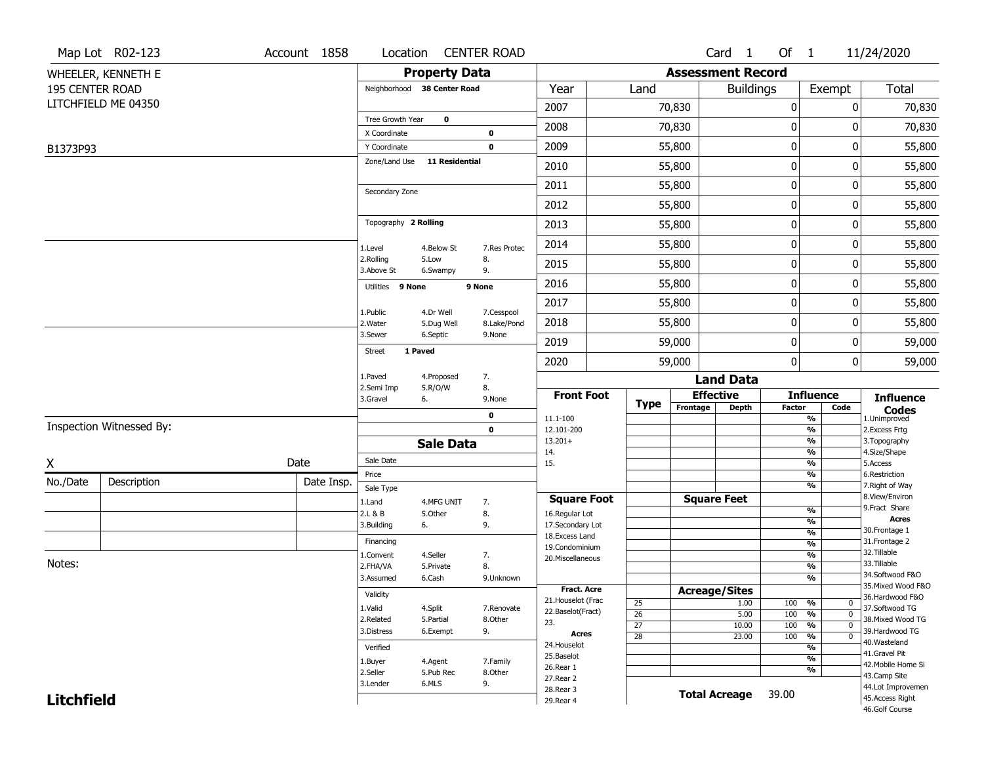|                   | Map Lot R02-123          | Account 1858 | Location                     |                       | <b>CENTER ROAD</b>         |                                    |                 |          | Card 1                       | Of 1             |                                            | 11/24/2020                        |
|-------------------|--------------------------|--------------|------------------------------|-----------------------|----------------------------|------------------------------------|-----------------|----------|------------------------------|------------------|--------------------------------------------|-----------------------------------|
|                   | WHEELER, KENNETH E       |              |                              | <b>Property Data</b>  |                            |                                    |                 |          | <b>Assessment Record</b>     |                  |                                            |                                   |
| 195 CENTER ROAD   |                          |              | Neighborhood 38 Center Road  |                       |                            | Year                               | Land            |          | <b>Buildings</b>             |                  | Exempt                                     | Total                             |
|                   | LITCHFIELD ME 04350      |              |                              |                       |                            | 2007                               |                 | 70,830   |                              | $\mathbf 0$      | 0                                          | 70,830                            |
|                   |                          |              | Tree Growth Year             | $\mathbf 0$           |                            | 2008                               |                 | 70,830   |                              | 0                | 0                                          | 70,830                            |
|                   |                          |              | X Coordinate<br>Y Coordinate |                       | $\mathbf 0$<br>$\mathbf 0$ | 2009                               |                 | 55,800   |                              | $\boldsymbol{0}$ | 0                                          | 55,800                            |
| B1373P93          |                          |              | Zone/Land Use                | <b>11 Residential</b> |                            | 2010                               |                 | 55,800   |                              | 0                | 0                                          | 55,800                            |
|                   |                          |              |                              |                       |                            | 2011                               |                 |          |                              | $\mathbf 0$      | 0                                          | 55,800                            |
|                   |                          |              | Secondary Zone               |                       |                            |                                    |                 | 55,800   |                              |                  |                                            |                                   |
|                   |                          |              |                              |                       |                            | 2012                               |                 | 55,800   |                              | 0                | 0                                          | 55,800                            |
|                   |                          |              | Topography 2 Rolling         |                       |                            | 2013                               |                 | 55,800   |                              | $\boldsymbol{0}$ | 0                                          | 55,800                            |
|                   |                          |              | 1.Level                      | 4.Below St            | 7.Res Protec               | 2014                               |                 | 55,800   |                              | 0                | 0                                          | 55,800                            |
|                   |                          |              | 2.Rolling<br>3.Above St      | 5.Low<br>6.Swampy     | 8.<br>9.                   | 2015                               |                 | 55,800   |                              | $\mathbf 0$      | 0                                          | 55,800                            |
|                   |                          |              | Utilities 9 None             |                       | 9 None                     | 2016                               |                 | 55,800   |                              | 0                | 0                                          | 55,800                            |
|                   |                          |              | 1.Public                     | 4.Dr Well             | 7.Cesspool                 | 2017                               |                 | 55,800   |                              | 0                | 0                                          | 55,800                            |
|                   |                          |              | 2. Water                     | 5.Dug Well            | 8.Lake/Pond                | 2018                               |                 | 55,800   |                              | 0                | 0                                          | 55,800                            |
|                   |                          |              | 3.Sewer                      | 6.Septic              | 9.None                     | 2019                               |                 | 59,000   |                              | $\mathbf 0$      | 0                                          | 59,000                            |
|                   |                          |              | 1 Paved<br><b>Street</b>     |                       |                            | 2020                               |                 | 59,000   |                              | $\mathbf{0}$     | 0                                          | 59,000                            |
|                   |                          |              | 1.Paved<br>2.Semi Imp        | 4.Proposed            | 7.                         |                                    |                 |          | <b>Land Data</b>             |                  |                                            |                                   |
|                   |                          |              | 3.Gravel                     | 5.R/O/W<br>6.         | 8.<br>9.None               | <b>Front Foot</b>                  | <b>Type</b>     |          | <b>Effective</b>             |                  | <b>Influence</b>                           | <b>Influence</b>                  |
|                   |                          |              |                              |                       | 0                          | 11.1-100                           |                 | Frontage | <b>Depth</b>                 | <b>Factor</b>    | Code<br>$\overline{\frac{9}{6}}$           | <b>Codes</b><br>1.Unimproved      |
|                   | Inspection Witnessed By: |              |                              |                       | $\mathbf{0}$               | 12.101-200<br>$13.201+$            |                 |          |                              |                  | $\frac{9}{6}$<br>$\overline{\frac{9}{6}}$  | 2. Excess Frtg                    |
|                   |                          |              |                              | <b>Sale Data</b>      |                            | 14.                                |                 |          |                              |                  | %                                          | 3. Topography<br>4.Size/Shape     |
| X                 |                          | Date         | Sale Date                    |                       |                            | 15.                                |                 |          |                              |                  | $\overline{\frac{9}{6}}$                   | 5.Access                          |
| No./Date          | Description              | Date Insp.   | Price<br>Sale Type           |                       |                            |                                    |                 |          |                              |                  | %<br>%                                     | 6.Restriction<br>7. Right of Way  |
|                   |                          |              | 1.Land                       | 4.MFG UNIT            | 7.                         | <b>Square Foot</b>                 |                 |          | <b>Square Feet</b>           |                  |                                            | 8.View/Environ                    |
|                   |                          |              | 2.L & B                      | 5.Other               | 8.                         | 16.Regular Lot                     |                 |          |                              |                  | $\frac{9}{6}$<br>%                         | 9.Fract Share<br><b>Acres</b>     |
|                   |                          |              | 3.Building                   | 6.                    | 9.                         | 17.Secondary Lot<br>18.Excess Land |                 |          |                              |                  | $\frac{9}{6}$                              | 30. Frontage 1                    |
|                   |                          |              | Financing                    |                       |                            | 19.Condominium                     |                 |          |                              |                  | %                                          | 31. Frontage 2                    |
| Notes:            |                          |              | 1.Convent                    | 4.Seller              | 7.                         | 20.Miscellaneous                   |                 |          |                              |                  | $\frac{9}{6}$                              | 32.Tillable<br>33.Tillable        |
|                   |                          |              | 2.FHA/VA                     | 5.Private             | 8.                         |                                    |                 |          |                              |                  | %<br>%                                     | 34.Softwood F&O                   |
|                   |                          |              | 3.Assumed                    | 6.Cash                | 9.Unknown                  | <b>Fract. Acre</b>                 |                 |          |                              |                  |                                            | 35. Mixed Wood F&O                |
|                   |                          |              | Validity                     |                       |                            | 21. Houselot (Frac                 | 25              |          | <b>Acreage/Sites</b><br>1.00 | 100              | %<br>0                                     | 36.Hardwood F&O                   |
|                   |                          |              | 1.Valid                      | 4.Split               | 7.Renovate                 | 22.Baselot(Fract)                  | $\overline{26}$ |          | 5.00                         | 100              | $\overline{\mathfrak{o}}$<br>%             | 37.Softwood TG                    |
|                   |                          |              | 2.Related                    | 5.Partial             | 8.Other                    | 23.                                | $\overline{27}$ |          | 10.00                        | 100              | $\frac{9}{6}$<br>$\overline{0}$            | 38. Mixed Wood TG                 |
|                   |                          |              | 3.Distress                   | 6.Exempt              | 9.                         | Acres                              | $\overline{28}$ |          | 23.00                        | 100              | $\overline{\mathfrak{o}}$<br>$\frac{9}{6}$ | 39.Hardwood TG                    |
|                   |                          |              | Verified                     |                       |                            | 24. Houselot                       |                 |          |                              |                  | $\overline{\frac{9}{6}}$                   | 40. Wasteland<br>41.Gravel Pit    |
|                   |                          |              | 1.Buyer                      | 4.Agent               | 7.Family                   | 25.Baselot<br>26.Rear 1            |                 |          |                              |                  | $\overline{\frac{9}{6}}$                   | 42. Mobile Home Si                |
|                   |                          |              | 2.Seller                     | 5.Pub Rec             | 8.Other                    | 27.Rear 2                          |                 |          |                              |                  | $\overline{\frac{9}{6}}$                   | 43.Camp Site                      |
|                   |                          |              | 3.Lender                     | 6.MLS                 | 9.                         | 28. Rear 3                         |                 |          | <b>Total Acreage</b>         | 39.00            |                                            | 44.Lot Improvemen                 |
| <b>Litchfield</b> |                          |              |                              |                       |                            | 29. Rear 4                         |                 |          |                              |                  |                                            | 45.Access Right<br>46.Golf Course |